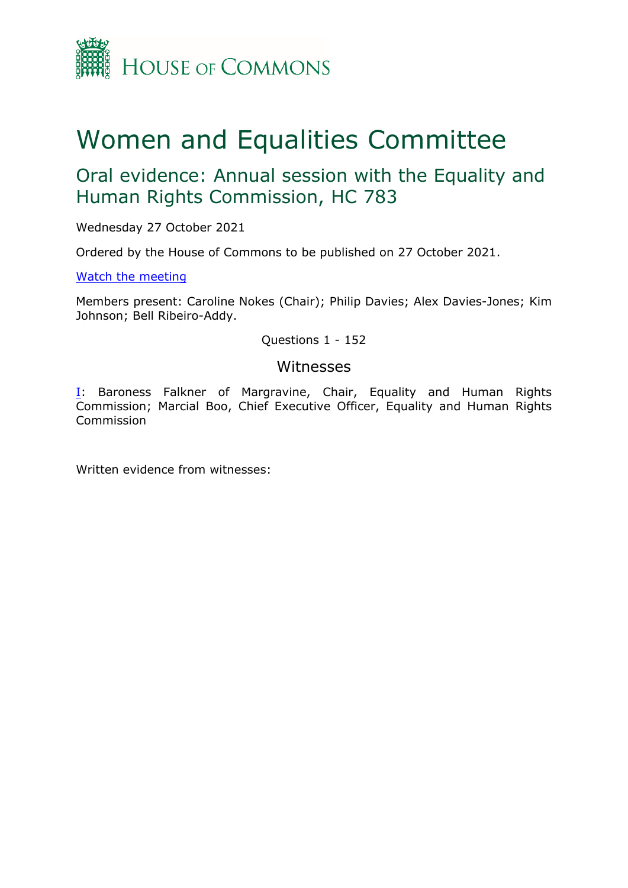

# Women and Equalities Committee

## Oral evidence: Annual session with the Equality and Human Rights Commission, HC 783

Wednesday 27 October 2021

Ordered by the House of Commons to be published on 27 October 2021.

[Watch](https://www.parliamentlive.tv/Event/Index/f356f99c-33d9-4d87-9416-c9695c97c1c5) [the](https://www.parliamentlive.tv/Event/Index/f356f99c-33d9-4d87-9416-c9695c97c1c5) [meeting](https://www.parliamentlive.tv/Event/Index/f356f99c-33d9-4d87-9416-c9695c97c1c5)

Members present: Caroline Nokes (Chair); Philip Davies; Alex Davies-Jones; Kim Johnson; Bell Ribeiro-Addy.

Questions 1 - 152

#### Witnesses

[I:](#page-1-0) Baroness Falkner of Margravine, Chair, Equality and Human Rights Commission; Marcial Boo, Chief Executive Officer, Equality and Human Rights Commission

Written evidence from witnesses: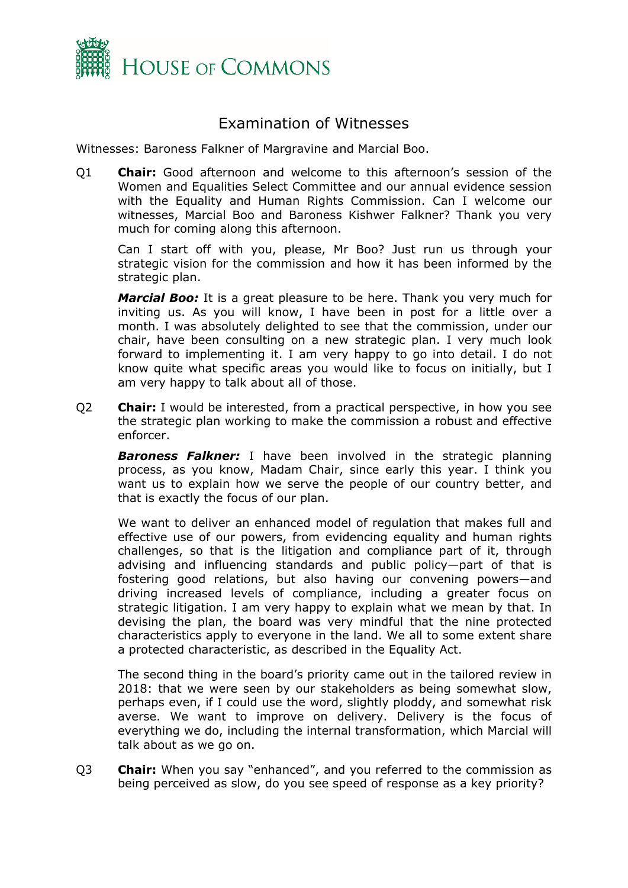

### Examination of Witnesses

<span id="page-1-0"></span>Witnesses: Baroness Falkner of Margravine and Marcial Boo.

Q1 **Chair:** Good afternoon and welcome to this afternoon's session of the Women and Equalities Select Committee and our annual evidence session with the Equality and Human Rights Commission. Can I welcome our witnesses, Marcial Boo and Baroness Kishwer Falkner? Thank you very much for coming along this afternoon.

Can I start off with you, please, Mr Boo? Just run us through your strategic vision for the commission and how it has been informed by the strategic plan.

*Marcial Boo:* It is a great pleasure to be here. Thank you very much for inviting us. As you will know, I have been in post for a little over a month. I was absolutely delighted to see that the commission, under our chair, have been consulting on a new strategic plan. I very much look forward to implementing it. I am very happy to go into detail. I do not know quite what specific areas you would like to focus on initially, but I am very happy to talk about all of those.

Q2 **Chair:** I would be interested, from a practical perspective, in how you see the strategic plan working to make the commission a robust and effective enforcer.

*Baroness Falkner:* I have been involved in the strategic planning process, as you know, Madam Chair, since early this year. I think you want us to explain how we serve the people of our country better, and that is exactly the focus of our plan.

We want to deliver an enhanced model of regulation that makes full and effective use of our powers, from evidencing equality and human rights challenges, so that is the litigation and compliance part of it, through advising and influencing standards and public policy—part of that is fostering good relations, but also having our convening powers—and driving increased levels of compliance, including a greater focus on strategic litigation. I am very happy to explain what we mean by that. In devising the plan, the board was very mindful that the nine protected characteristics apply to everyone in the land. We all to some extent share a protected characteristic, as described in the Equality Act.

The second thing in the board's priority came out in the tailored review in 2018: that we were seen by our stakeholders as being somewhat slow, perhaps even, if I could use the word, slightly ploddy, and somewhat risk averse. We want to improve on delivery. Delivery is the focus of everything we do, including the internal transformation, which Marcial will talk about as we go on.

Q3 **Chair:** When you say "enhanced", and you referred to the commission as being perceived as slow, do you see speed of response as a key priority?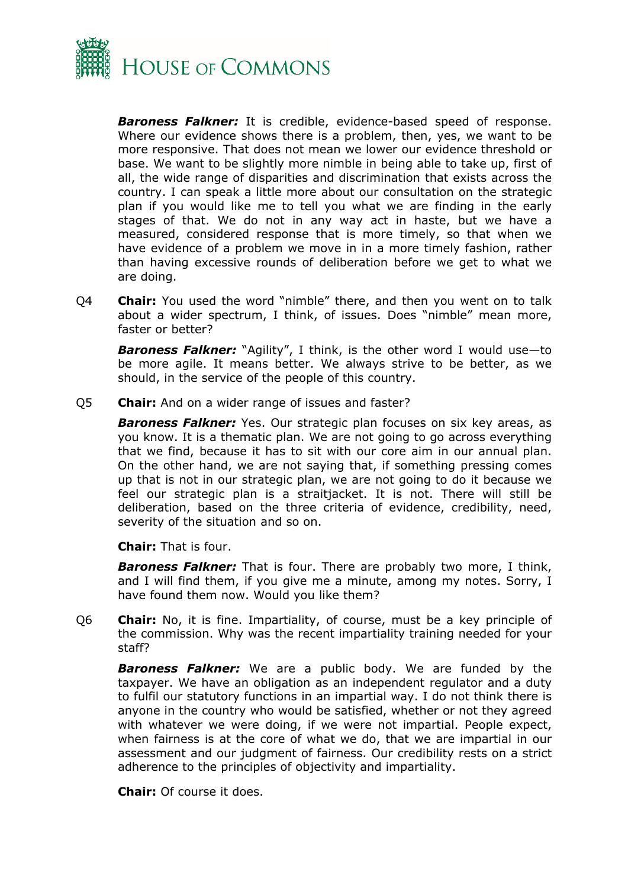

*Baroness Falkner:* It is credible, evidence-based speed of response. Where our evidence shows there is a problem, then, yes, we want to be more responsive. That does not mean we lower our evidence threshold or base. We want to be slightly more nimble in being able to take up, first of all, the wide range of disparities and discrimination that exists across the country. I can speak a little more about our consultation on the strategic plan if you would like me to tell you what we are finding in the early stages of that. We do not in any way act in haste, but we have a measured, considered response that is more timely, so that when we have evidence of a problem we move in in a more timely fashion, rather than having excessive rounds of deliberation before we get to what we are doing.

Q4 **Chair:** You used the word "nimble" there, and then you went on to talk about a wider spectrum, I think, of issues. Does "nimble" mean more, faster or better?

*Baroness Falkner:* "Agility", I think, is the other word I would use—to be more agile. It means better. We always strive to be better, as we should, in the service of the people of this country.

Q5 **Chair:** And on a wider range of issues and faster?

*Baroness Falkner:* Yes. Our strategic plan focuses on six key areas, as you know. It is a thematic plan. We are not going to go across everything that we find, because it has to sit with our core aim in our annual plan. On the other hand, we are not saying that, if something pressing comes up that is not in our strategic plan, we are not going to do it because we feel our strategic plan is a straitjacket. It is not. There will still be deliberation, based on the three criteria of evidence, credibility, need, severity of the situation and so on.

**Chair:** That is four.

*Baroness Falkner:* That is four. There are probably two more, I think, and I will find them, if you give me a minute, among my notes. Sorry, I have found them now. Would you like them?

Q6 **Chair:** No, it is fine. Impartiality, of course, must be a key principle of the commission. Why was the recent impartiality training needed for your staff?

*Baroness Falkner:* We are a public body. We are funded by the taxpayer. We have an obligation as an independent regulator and a duty to fulfil our statutory functions in an impartial way. I do not think there is anyone in the country who would be satisfied, whether or not they agreed with whatever we were doing, if we were not impartial. People expect, when fairness is at the core of what we do, that we are impartial in our assessment and our judgment of fairness. Our credibility rests on a strict adherence to the principles of objectivity and impartiality.

**Chair:** Of course it does.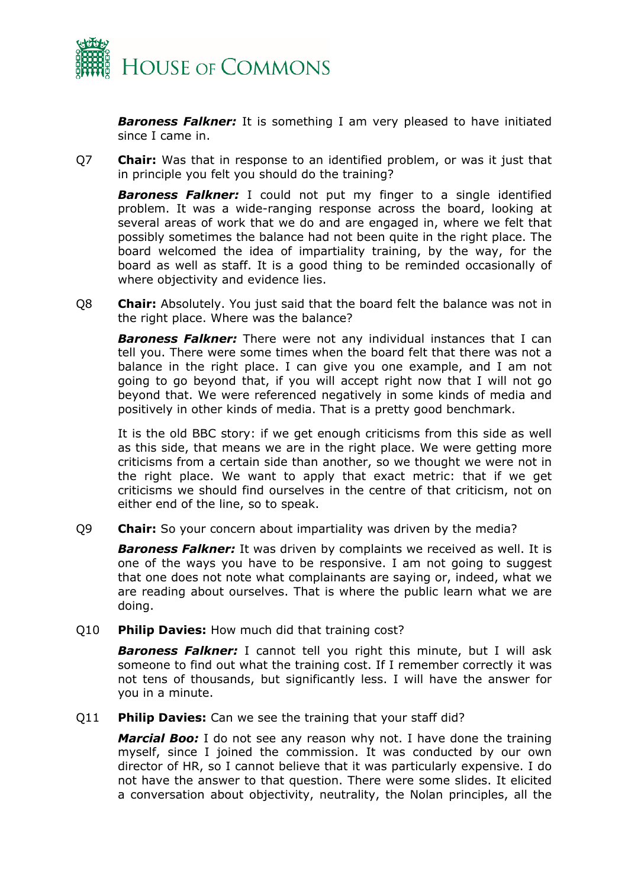

*Baroness Falkner:* It is something I am very pleased to have initiated since I came in.

Q7 **Chair:** Was that in response to an identified problem, or was it just that in principle you felt you should do the training?

*Baroness Falkner:* I could not put my finger to a single identified problem. It was a wide-ranging response across the board, looking at several areas of work that we do and are engaged in, where we felt that possibly sometimes the balance had not been quite in the right place. The board welcomed the idea of impartiality training, by the way, for the board as well as staff. It is a good thing to be reminded occasionally of where objectivity and evidence lies.

Q8 **Chair:** Absolutely. You just said that the board felt the balance was not in the right place. Where was the balance?

*Baroness Falkner:* There were not any individual instances that I can tell you. There were some times when the board felt that there was not a balance in the right place. I can give you one example, and I am not going to go beyond that, if you will accept right now that I will not go beyond that. We were referenced negatively in some kinds of media and positively in other kinds of media. That is a pretty good benchmark.

It is the old BBC story: if we get enough criticisms from this side as well as this side, that means we are in the right place. We were getting more criticisms from a certain side than another, so we thought we were not in the right place. We want to apply that exact metric: that if we get criticisms we should find ourselves in the centre of that criticism, not on either end of the line, so to speak.

Q9 **Chair:** So your concern about impartiality was driven by the media?

**Baroness Falkner:** It was driven by complaints we received as well. It is one of the ways you have to be responsive. I am not going to suggest that one does not note what complainants are saying or, indeed, what we are reading about ourselves. That is where the public learn what we are doing.

Q10 **Philip Davies:** How much did that training cost?

*Baroness Falkner:* I cannot tell you right this minute, but I will ask someone to find out what the training cost. If I remember correctly it was not tens of thousands, but significantly less. I will have the answer for you in a minute.

Q11 **Philip Davies:** Can we see the training that your staff did?

*Marcial Boo:* I do not see any reason why not. I have done the training myself, since I joined the commission. It was conducted by our own director of HR, so I cannot believe that it was particularly expensive. I do not have the answer to that question. There were some slides. It elicited a conversation about objectivity, neutrality, the Nolan principles, all the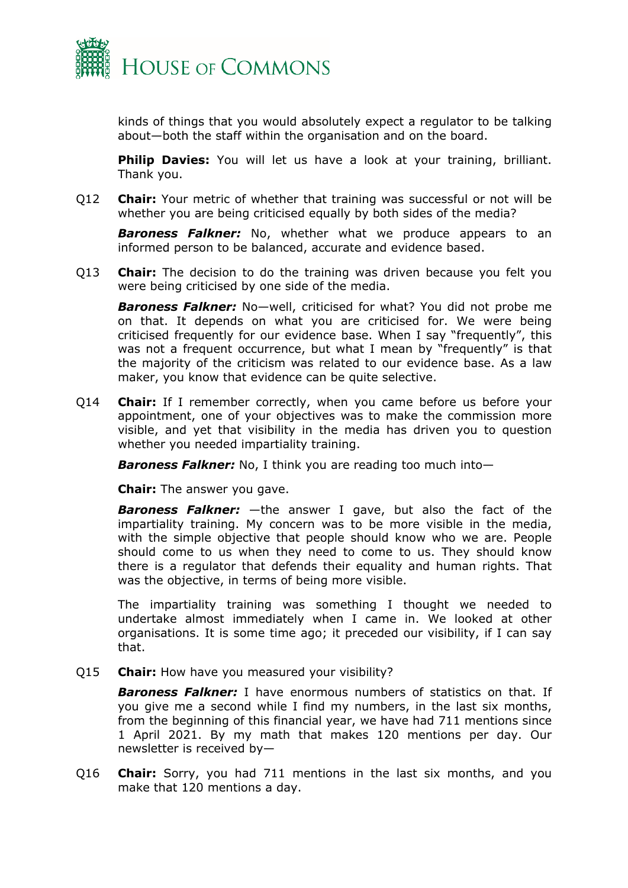

kinds of things that you would absolutely expect a regulator to be talking about—both the staff within the organisation and on the board.

**Philip Davies:** You will let us have a look at your training, brilliant. Thank you.

Q12 **Chair:** Your metric of whether that training was successful or not will be whether you are being criticised equally by both sides of the media?

**Baroness Falkner:** No, whether what we produce appears to an informed person to be balanced, accurate and evidence based.

Q13 **Chair:** The decision to do the training was driven because you felt you were being criticised by one side of the media.

*Baroness Falkner:* No—well, criticised for what? You did not probe me on that. It depends on what you are criticised for. We were being criticised frequently for our evidence base. When I say "frequently", this was not a frequent occurrence, but what I mean by "frequently" is that the majority of the criticism was related to our evidence base. As a law maker, you know that evidence can be quite selective.

Q14 **Chair:** If I remember correctly, when you came before us before your appointment, one of your objectives was to make the commission more visible, and yet that visibility in the media has driven you to question whether you needed impartiality training.

*Baroness Falkner:* No, I think you are reading too much into—

**Chair:** The answer you gave.

*Baroness Falkner:* —the answer I gave, but also the fact of the impartiality training. My concern was to be more visible in the media, with the simple objective that people should know who we are. People should come to us when they need to come to us. They should know there is a regulator that defends their equality and human rights. That was the objective, in terms of being more visible.

The impartiality training was something I thought we needed to undertake almost immediately when I came in. We looked at other organisations. It is some time ago; it preceded our visibility, if I can say that.

Q15 **Chair:** How have you measured your visibility?

*Baroness Falkner:* I have enormous numbers of statistics on that. If you give me a second while I find my numbers, in the last six months, from the beginning of this financial year, we have had 711 mentions since 1 April 2021. By my math that makes 120 mentions per day. Our newsletter is received by—

Q16 **Chair:** Sorry, you had 711 mentions in the last six months, and you make that 120 mentions a day.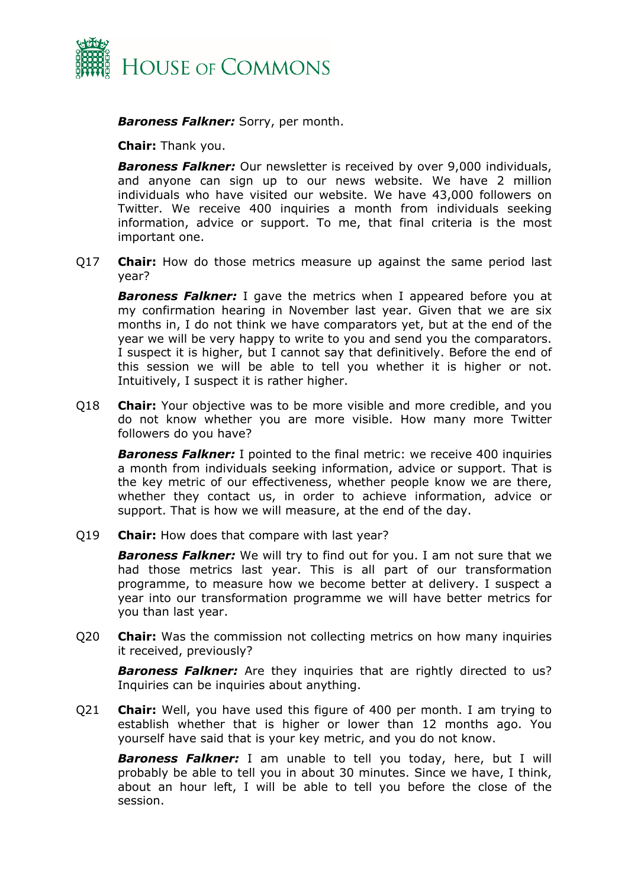

*Baroness Falkner:* Sorry, per month.

**Chair:** Thank you.

*Baroness Falkner:* Our newsletter is received by over 9,000 individuals, and anyone can sign up to our news website. We have 2 million individuals who have visited our website. We have 43,000 followers on Twitter. We receive 400 inquiries a month from individuals seeking information, advice or support. To me, that final criteria is the most important one.

Q17 **Chair:** How do those metrics measure up against the same period last year?

**Baroness Falkner:** I gave the metrics when I appeared before you at my confirmation hearing in November last year. Given that we are six months in, I do not think we have comparators yet, but at the end of the year we will be very happy to write to you and send you the comparators. I suspect it is higher, but I cannot say that definitively. Before the end of this session we will be able to tell you whether it is higher or not. Intuitively, I suspect it is rather higher.

Q18 **Chair:** Your objective was to be more visible and more credible, and you do not know whether you are more visible. How many more Twitter followers do you have?

*Baroness Falkner:* I pointed to the final metric: we receive 400 inquiries a month from individuals seeking information, advice or support. That is the key metric of our effectiveness, whether people know we are there, whether they contact us, in order to achieve information, advice or support. That is how we will measure, at the end of the day.

Q19 **Chair:** How does that compare with last year?

*Baroness Falkner:* We will try to find out for you. I am not sure that we had those metrics last year. This is all part of our transformation programme, to measure how we become better at delivery. I suspect a year into our transformation programme we will have better metrics for you than last year.

Q20 **Chair:** Was the commission not collecting metrics on how many inquiries it received, previously?

*Baroness Falkner:* Are they inquiries that are rightly directed to us? Inquiries can be inquiries about anything.

Q21 **Chair:** Well, you have used this figure of 400 per month. I am trying to establish whether that is higher or lower than 12 months ago. You yourself have said that is your key metric, and you do not know.

*Baroness Falkner:* I am unable to tell you today, here, but I will probably be able to tell you in about 30 minutes. Since we have, I think, about an hour left, I will be able to tell you before the close of the session.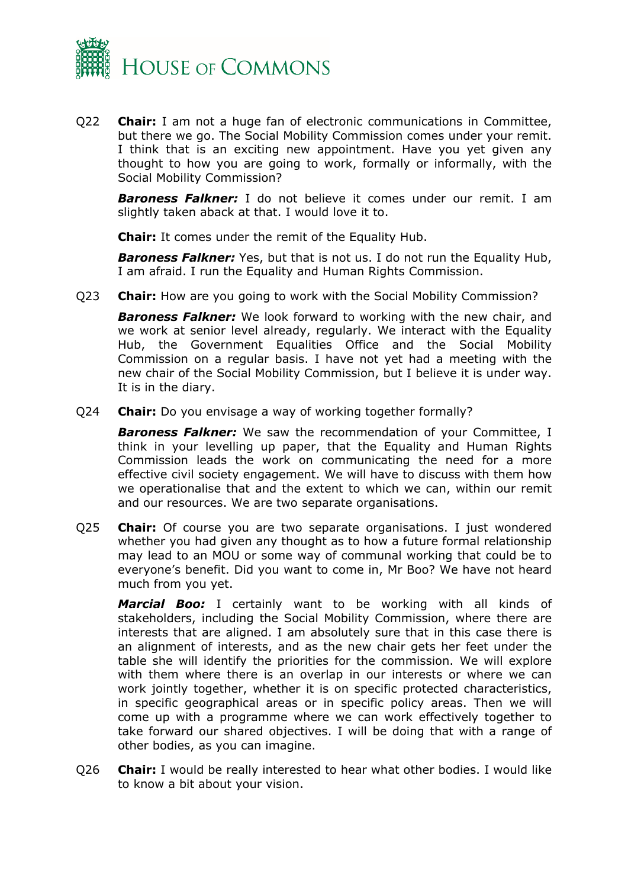

Q22 **Chair:** I am not a huge fan of electronic communications in Committee, but there we go. The Social Mobility Commission comes under your remit. I think that is an exciting new appointment. Have you yet given any thought to how you are going to work, formally or informally, with the Social Mobility Commission?

*Baroness Falkner:* I do not believe it comes under our remit. I am slightly taken aback at that. I would love it to.

**Chair:** It comes under the remit of the Equality Hub.

*Baroness Falkner:* Yes, but that is not us. I do not run the Equality Hub, I am afraid. I run the Equality and Human Rights Commission.

Q23 **Chair:** How are you going to work with the Social Mobility Commission?

*Baroness Falkner:* We look forward to working with the new chair, and we work at senior level already, regularly. We interact with the Equality Hub, the Government Equalities Office and the Social Mobility Commission on a regular basis. I have not yet had a meeting with the new chair of the Social Mobility Commission, but I believe it is under way. It is in the diary.

Q24 **Chair:** Do you envisage a way of working together formally?

**Baroness Falkner:** We saw the recommendation of your Committee, I think in your levelling up paper, that the Equality and Human Rights Commission leads the work on communicating the need for a more effective civil society engagement. We will have to discuss with them how we operationalise that and the extent to which we can, within our remit and our resources. We are two separate organisations.

Q25 **Chair:** Of course you are two separate organisations. I just wondered whether you had given any thought as to how a future formal relationship may lead to an MOU or some way of communal working that could be to everyone's benefit. Did you want to come in, Mr Boo? We have not heard much from you yet.

*Marcial Boo:* I certainly want to be working with all kinds of stakeholders, including the Social Mobility Commission, where there are interests that are aligned. I am absolutely sure that in this case there is an alignment of interests, and as the new chair gets her feet under the table she will identify the priorities for the commission. We will explore with them where there is an overlap in our interests or where we can work jointly together, whether it is on specific protected characteristics, in specific geographical areas or in specific policy areas. Then we will come up with a programme where we can work effectively together to take forward our shared objectives. I will be doing that with a range of other bodies, as you can imagine.

Q26 **Chair:** I would be really interested to hear what other bodies. I would like to know a bit about your vision.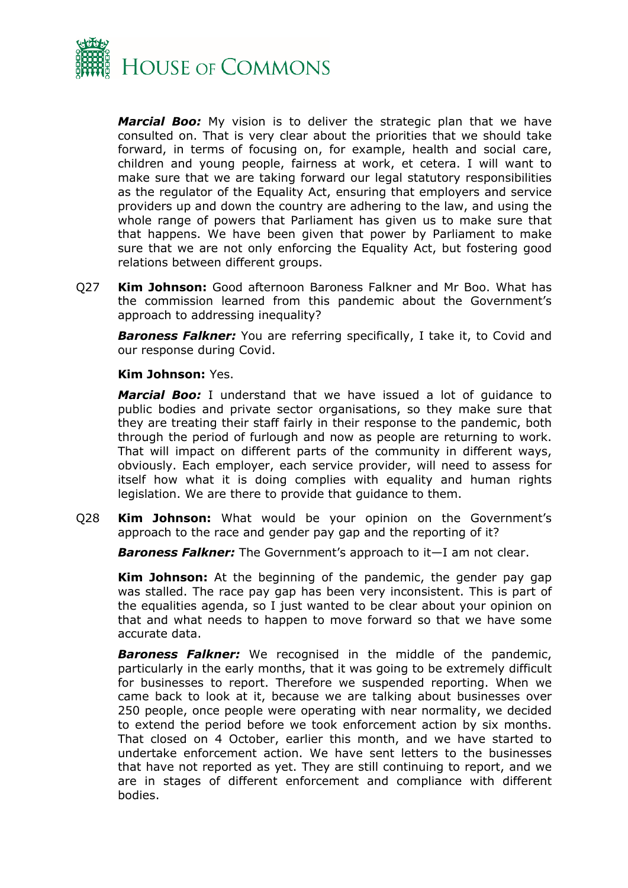

*Marcial Boo:* My vision is to deliver the strategic plan that we have consulted on. That is very clear about the priorities that we should take forward, in terms of focusing on, for example, health and social care, children and young people, fairness at work, et cetera. I will want to make sure that we are taking forward our legal statutory responsibilities as the regulator of the Equality Act, ensuring that employers and service providers up and down the country are adhering to the law, and using the whole range of powers that Parliament has given us to make sure that that happens. We have been given that power by Parliament to make sure that we are not only enforcing the Equality Act, but fostering good relations between different groups.

Q27 **Kim Johnson:** Good afternoon Baroness Falkner and Mr Boo. What has the commission learned from this pandemic about the Government's approach to addressing inequality?

**Baroness Falkner:** You are referring specifically, I take it, to Covid and our response during Covid.

#### **Kim Johnson:** Yes.

*Marcial Boo:* I understand that we have issued a lot of guidance to public bodies and private sector organisations, so they make sure that they are treating their staff fairly in their response to the pandemic, both through the period of furlough and now as people are returning to work. That will impact on different parts of the community in different ways, obviously. Each employer, each service provider, will need to assess for itself how what it is doing complies with equality and human rights legislation. We are there to provide that guidance to them.

Q28 **Kim Johnson:** What would be your opinion on the Government's approach to the race and gender pay gap and the reporting of it?

*Baroness Falkner:* The Government's approach to it—I am not clear.

**Kim Johnson:** At the beginning of the pandemic, the gender pay gap was stalled. The race pay gap has been very inconsistent. This is part of the equalities agenda, so I just wanted to be clear about your opinion on that and what needs to happen to move forward so that we have some accurate data.

*Baroness Falkner:* We recognised in the middle of the pandemic, particularly in the early months, that it was going to be extremely difficult for businesses to report. Therefore we suspended reporting. When we came back to look at it, because we are talking about businesses over 250 people, once people were operating with near normality, we decided to extend the period before we took enforcement action by six months. That closed on 4 October, earlier this month, and we have started to undertake enforcement action. We have sent letters to the businesses that have not reported as yet. They are still continuing to report, and we are in stages of different enforcement and compliance with different bodies.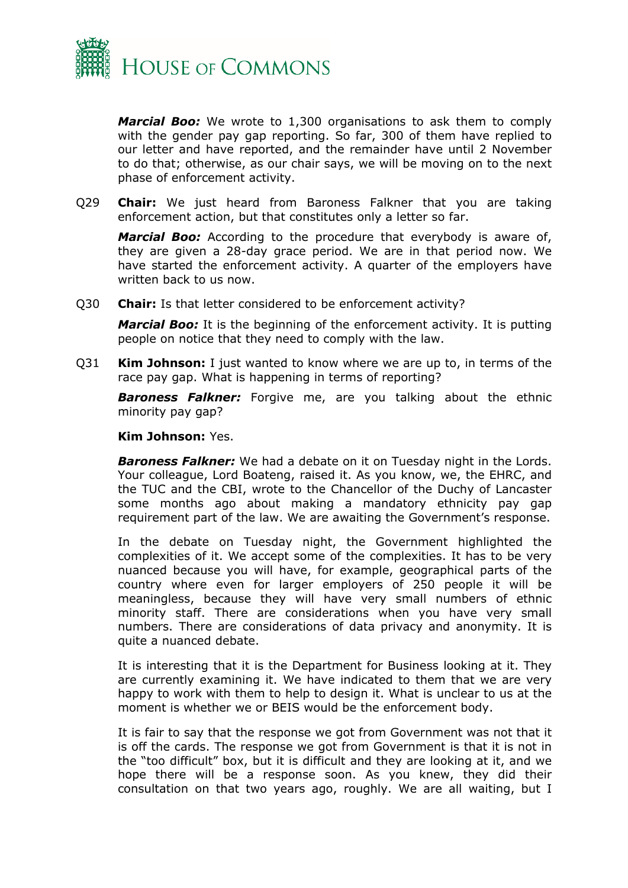

*Marcial Boo:* We wrote to 1,300 organisations to ask them to comply with the gender pay gap reporting. So far, 300 of them have replied to our letter and have reported, and the remainder have until 2 November to do that; otherwise, as our chair says, we will be moving on to the next phase of enforcement activity.

Q29 **Chair:** We just heard from Baroness Falkner that you are taking enforcement action, but that constitutes only a letter so far.

*Marcial Boo:* According to the procedure that everybody is aware of, they are given a 28-day grace period. We are in that period now. We have started the enforcement activity. A quarter of the employers have written back to us now.

Q30 **Chair:** Is that letter considered to be enforcement activity?

*Marcial Boo:* It is the beginning of the enforcement activity. It is putting people on notice that they need to comply with the law.

Q31 **Kim Johnson:** I just wanted to know where we are up to, in terms of the race pay gap. What is happening in terms of reporting?

*Baroness Falkner:* Forgive me, are you talking about the ethnic minority pay gap?

#### **Kim Johnson:** Yes.

*Baroness Falkner:* We had a debate on it on Tuesday night in the Lords. Your colleague, Lord Boateng, raised it. As you know, we, the EHRC, and the TUC and the CBI, wrote to the Chancellor of the Duchy of Lancaster some months ago about making a mandatory ethnicity pay gap requirement part of the law. We are awaiting the Government's response.

In the debate on Tuesday night, the Government highlighted the complexities of it. We accept some of the complexities. It has to be very nuanced because you will have, for example, geographical parts of the country where even for larger employers of 250 people it will be meaningless, because they will have very small numbers of ethnic minority staff. There are considerations when you have very small numbers. There are considerations of data privacy and anonymity. It is quite a nuanced debate.

It is interesting that it is the Department for Business looking at it. They are currently examining it. We have indicated to them that we are very happy to work with them to help to design it. What is unclear to us at the moment is whether we or BEIS would be the enforcement body.

It is fair to say that the response we got from Government was not that it is off the cards. The response we got from Government is that it is not in the "too difficult" box, but it is difficult and they are looking at it, and we hope there will be a response soon. As you knew, they did their consultation on that two years ago, roughly. We are all waiting, but I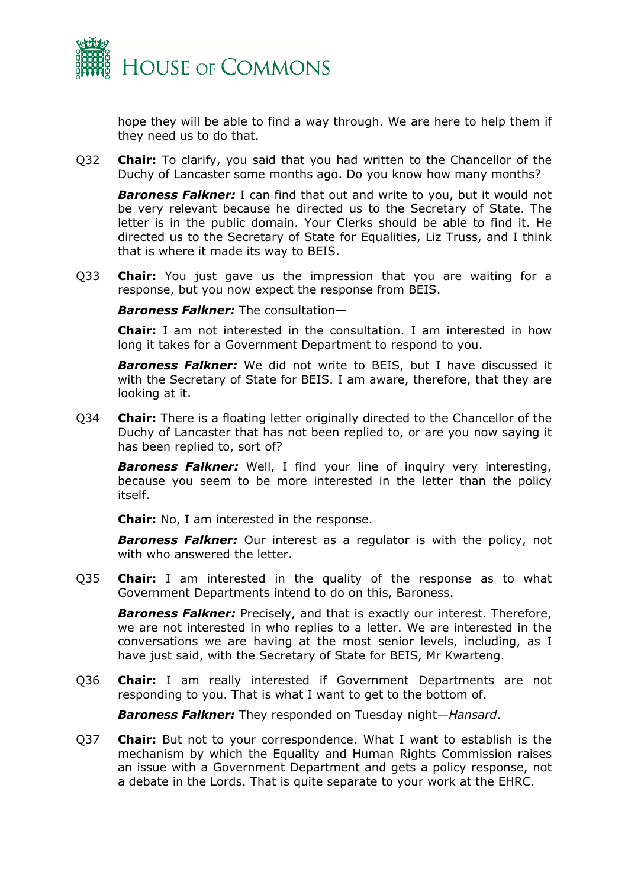

hope they will be able to find a way through. We are here to help them if they need us to do that.

Q32 **Chair:** To clarify, you said that you had written to the Chancellor of the Duchy of Lancaster some months ago. Do you know how many months?

*Baroness Falkner:* I can find that out and write to you, but it would not be very relevant because he directed us to the Secretary of State. The letter is in the public domain. Your Clerks should be able to find it. He directed us to the Secretary of State for Equalities, Liz Truss, and I think that is where it made its way to BEIS.

Q33 **Chair:** You just gave us the impression that you are waiting for a response, but you now expect the response from BEIS.

*Baroness Falkner:* The consultation—

**Chair:** I am not interested in the consultation. I am interested in how long it takes for a Government Department to respond to you.

*Baroness Falkner:* We did not write to BEIS, but I have discussed it with the Secretary of State for BEIS. I am aware, therefore, that they are looking at it.

Q34 **Chair:** There is a floating letter originally directed to the Chancellor of the Duchy of Lancaster that has not been replied to, or are you now saying it has been replied to, sort of?

*Baroness Falkner:* Well, I find your line of inquiry very interesting, because you seem to be more interested in the letter than the policy itself.

**Chair:** No, I am interested in the response.

*Baroness Falkner:* Our interest as a regulator is with the policy, not with who answered the letter.

Q35 **Chair:** I am interested in the quality of the response as to what Government Departments intend to do on this, Baroness.

*Baroness Falkner:* Precisely, and that is exactly our interest. Therefore, we are not interested in who replies to a letter. We are interested in the conversations we are having at the most senior levels, including, as I have just said, with the Secretary of State for BEIS, Mr Kwarteng.

Q36 **Chair:** I am really interested if Government Departments are not responding to you. That is what I want to get to the bottom of.

*Baroness Falkner:* They responded on Tuesday night—*Hansard*.

Q37 **Chair:** But not to your correspondence. What I want to establish is the mechanism by which the Equality and Human Rights Commission raises an issue with a Government Department and gets a policy response, not a debate in the Lords. That is quite separate to your work at the EHRC.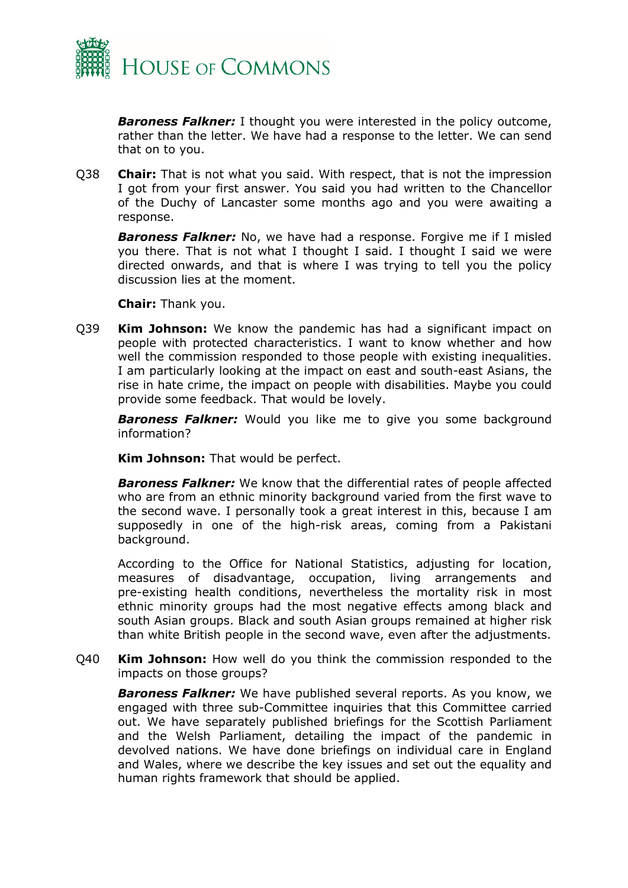

*Baroness Falkner:* I thought you were interested in the policy outcome, rather than the letter. We have had a response to the letter. We can send that on to you.

Q38 **Chair:** That is not what you said. With respect, that is not the impression I got from your first answer. You said you had written to the Chancellor of the Duchy of Lancaster some months ago and you were awaiting a response.

*Baroness Falkner:* No, we have had a response. Forgive me if I misled you there. That is not what I thought I said. I thought I said we were directed onwards, and that is where I was trying to tell you the policy discussion lies at the moment.

**Chair:** Thank you.

Q39 **Kim Johnson:** We know the pandemic has had a significant impact on people with protected characteristics. I want to know whether and how well the commission responded to those people with existing inequalities. I am particularly looking at the impact on east and south-east Asians, the rise in hate crime, the impact on people with disabilities. Maybe you could provide some feedback. That would be lovely.

*Baroness Falkner:* Would you like me to give you some background information?

**Kim Johnson:** That would be perfect.

*Baroness Falkner:* We know that the differential rates of people affected who are from an ethnic minority background varied from the first wave to the second wave. I personally took a great interest in this, because I am supposedly in one of the high-risk areas, coming from a Pakistani background.

According to the Office for National Statistics, adjusting for location, measures of disadvantage, occupation, living arrangements and pre-existing health conditions, nevertheless the mortality risk in most ethnic minority groups had the most negative effects among black and south Asian groups. Black and south Asian groups remained at higher risk than white British people in the second wave, even after the adjustments.

Q40 **Kim Johnson:** How well do you think the commission responded to the impacts on those groups?

*Baroness Falkner:* We have published several reports. As you know, we engaged with three sub-Committee inquiries that this Committee carried out. We have separately published briefings for the Scottish Parliament and the Welsh Parliament, detailing the impact of the pandemic in devolved nations. We have done briefings on individual care in England and Wales, where we describe the key issues and set out the equality and human rights framework that should be applied.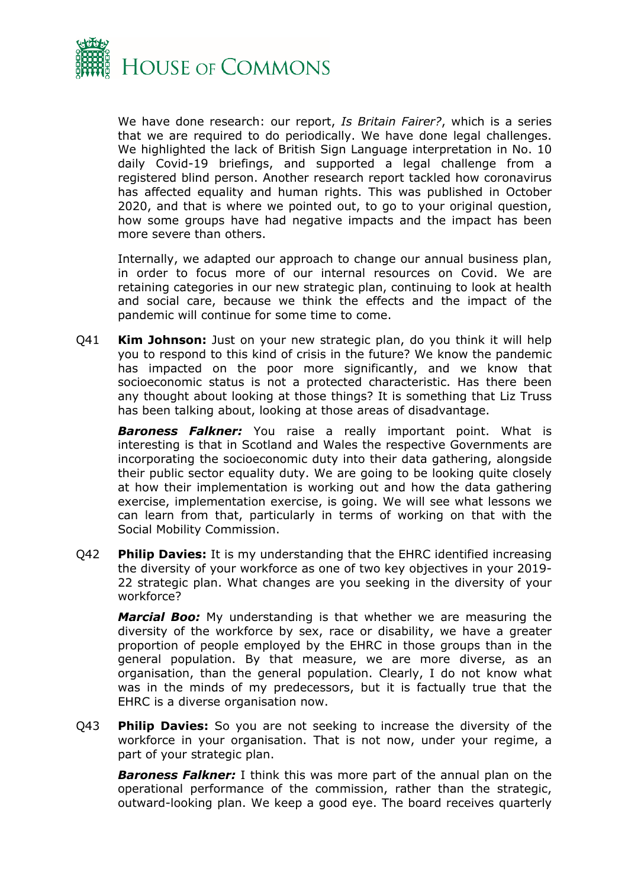

We have done research: our report, *Is Britain Fairer?*, which is a series that we are required to do periodically. We have done legal challenges. We highlighted the lack of British Sign Language interpretation in No. 10 daily Covid-19 briefings, and supported a legal challenge from a registered blind person. Another research report tackled how coronavirus has affected equality and human rights. This was published in October 2020, and that is where we pointed out, to go to your original question, how some groups have had negative impacts and the impact has been more severe than others.

Internally, we adapted our approach to change our annual business plan, in order to focus more of our internal resources on Covid. We are retaining categories in our new strategic plan, continuing to look at health and social care, because we think the effects and the impact of the pandemic will continue for some time to come.

Q41 **Kim Johnson:** Just on your new strategic plan, do you think it will help you to respond to this kind of crisis in the future? We know the pandemic has impacted on the poor more significantly, and we know that socioeconomic status is not a protected characteristic. Has there been any thought about looking at those things? It is something that Liz Truss has been talking about, looking at those areas of disadvantage.

*Baroness Falkner:* You raise a really important point. What is interesting is that in Scotland and Wales the respective Governments are incorporating the socioeconomic duty into their data gathering, alongside their public sector equality duty. We are going to be looking quite closely at how their implementation is working out and how the data gathering exercise, implementation exercise, is going. We will see what lessons we can learn from that, particularly in terms of working on that with the Social Mobility Commission.

Q42 **Philip Davies:** It is my understanding that the EHRC identified increasing the diversity of your workforce as one of two key objectives in your 2019- 22 strategic plan. What changes are you seeking in the diversity of your workforce?

*Marcial Boo:* My understanding is that whether we are measuring the diversity of the workforce by sex, race or disability, we have a greater proportion of people employed by the EHRC in those groups than in the general population. By that measure, we are more diverse, as an organisation, than the general population. Clearly, I do not know what was in the minds of my predecessors, but it is factually true that the EHRC is a diverse organisation now.

Q43 **Philip Davies:** So you are not seeking to increase the diversity of the workforce in your organisation. That is not now, under your regime, a part of your strategic plan.

*Baroness Falkner:* I think this was more part of the annual plan on the operational performance of the commission, rather than the strategic, outward-looking plan. We keep a good eye. The board receives quarterly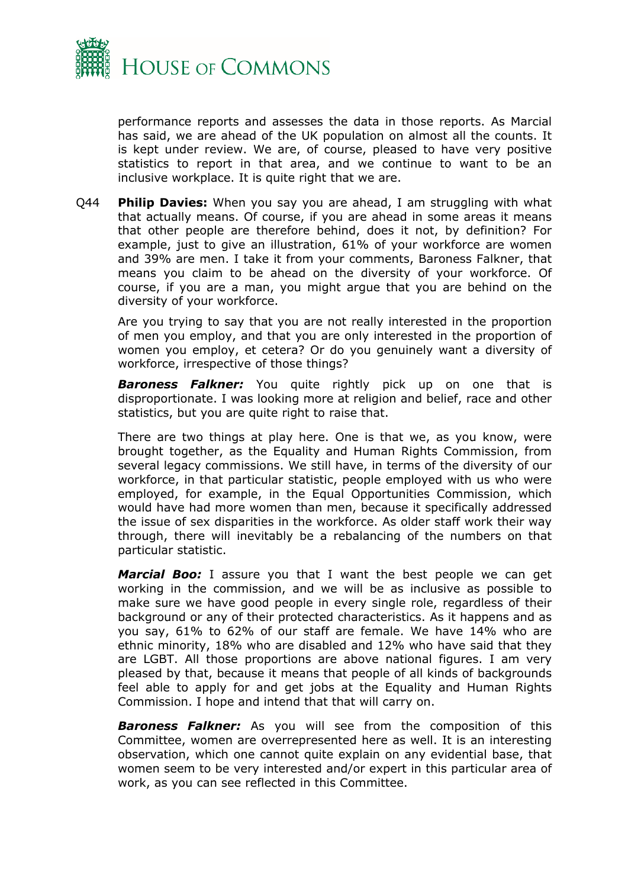

performance reports and assesses the data in those reports. As Marcial has said, we are ahead of the UK population on almost all the counts. It is kept under review. We are, of course, pleased to have very positive statistics to report in that area, and we continue to want to be an inclusive workplace. It is quite right that we are.

Q44 **Philip Davies:** When you say you are ahead, I am struggling with what that actually means. Of course, if you are ahead in some areas it means that other people are therefore behind, does it not, by definition? For example, just to give an illustration, 61% of your workforce are women and 39% are men. I take it from your comments, Baroness Falkner, that means you claim to be ahead on the diversity of your workforce. Of course, if you are a man, you might argue that you are behind on the diversity of your workforce.

Are you trying to say that you are not really interested in the proportion of men you employ, and that you are only interested in the proportion of women you employ, et cetera? Or do you genuinely want a diversity of workforce, irrespective of those things?

*Baroness Falkner:* You quite rightly pick up on one that is disproportionate. I was looking more at religion and belief, race and other statistics, but you are quite right to raise that.

There are two things at play here. One is that we, as you know, were brought together, as the Equality and Human Rights Commission, from several legacy commissions. We still have, in terms of the diversity of our workforce, in that particular statistic, people employed with us who were employed, for example, in the Equal Opportunities Commission, which would have had more women than men, because it specifically addressed the issue of sex disparities in the workforce. As older staff work their way through, there will inevitably be a rebalancing of the numbers on that particular statistic.

*Marcial Boo:* I assure you that I want the best people we can get working in the commission, and we will be as inclusive as possible to make sure we have good people in every single role, regardless of their background or any of their protected characteristics. As it happens and as you say, 61% to 62% of our staff are female. We have 14% who are ethnic minority, 18% who are disabled and 12% who have said that they are LGBT. All those proportions are above national figures. I am very pleased by that, because it means that people of all kinds of backgrounds feel able to apply for and get jobs at the Equality and Human Rights Commission. I hope and intend that that will carry on.

*Baroness Falkner:* As you will see from the composition of this Committee, women are overrepresented here as well. It is an interesting observation, which one cannot quite explain on any evidential base, that women seem to be very interested and/or expert in this particular area of work, as you can see reflected in this Committee.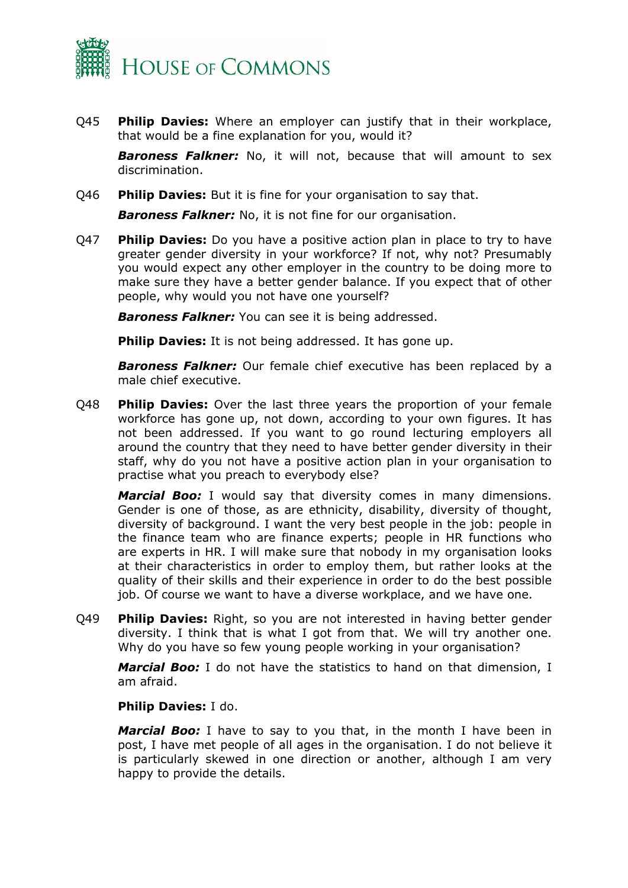

Q45 **Philip Davies:** Where an employer can justify that in their workplace, that would be a fine explanation for you, would it?

*Baroness Falkner:* No, it will not, because that will amount to sex discrimination.

Q46 **Philip Davies:** But it is fine for your organisation to say that.

*Baroness Falkner:* No, it is not fine for our organisation.

Q47 **Philip Davies:** Do you have a positive action plan in place to try to have greater gender diversity in your workforce? If not, why not? Presumably you would expect any other employer in the country to be doing more to make sure they have a better gender balance. If you expect that of other people, why would you not have one yourself?

*Baroness Falkner:* You can see it is being addressed.

**Philip Davies:** It is not being addressed. It has gone up.

*Baroness Falkner:* Our female chief executive has been replaced by a male chief executive.

Q48 **Philip Davies:** Over the last three years the proportion of your female workforce has gone up, not down, according to your own figures. It has not been addressed. If you want to go round lecturing employers all around the country that they need to have better gender diversity in their staff, why do you not have a positive action plan in your organisation to practise what you preach to everybody else?

*Marcial Boo:* I would say that diversity comes in many dimensions. Gender is one of those, as are ethnicity, disability, diversity of thought, diversity of background. I want the very best people in the job: people in the finance team who are finance experts; people in HR functions who are experts in HR. I will make sure that nobody in my organisation looks at their characteristics in order to employ them, but rather looks at the quality of their skills and their experience in order to do the best possible job. Of course we want to have a diverse workplace, and we have one.

Q49 **Philip Davies:** Right, so you are not interested in having better gender diversity. I think that is what I got from that. We will try another one. Why do you have so few young people working in your organisation?

*Marcial Boo:* I do not have the statistics to hand on that dimension, I am afraid.

#### **Philip Davies:** I do.

*Marcial Boo:* I have to say to you that, in the month I have been in post, I have met people of all ages in the organisation. I do not believe it is particularly skewed in one direction or another, although I am very happy to provide the details.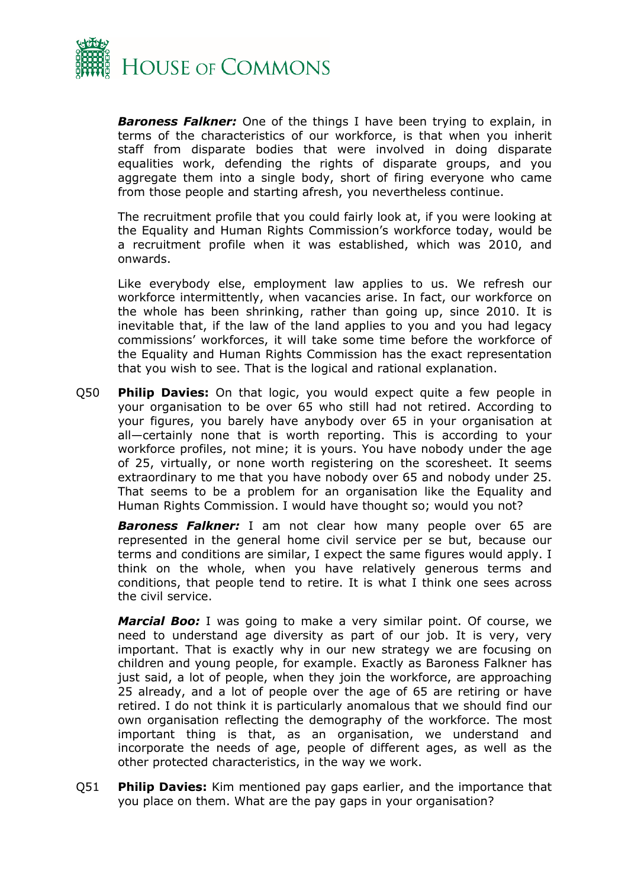

*Baroness Falkner:* One of the things I have been trying to explain, in terms of the characteristics of our workforce, is that when you inherit staff from disparate bodies that were involved in doing disparate equalities work, defending the rights of disparate groups, and you aggregate them into a single body, short of firing everyone who came from those people and starting afresh, you nevertheless continue.

The recruitment profile that you could fairly look at, if you were looking at the Equality and Human Rights Commission's workforce today, would be a recruitment profile when it was established, which was 2010, and onwards.

Like everybody else, employment law applies to us. We refresh our workforce intermittently, when vacancies arise. In fact, our workforce on the whole has been shrinking, rather than going up, since 2010. It is inevitable that, if the law of the land applies to you and you had legacy commissions' workforces, it will take some time before the workforce of the Equality and Human Rights Commission has the exact representation that you wish to see. That is the logical and rational explanation.

Q50 **Philip Davies:** On that logic, you would expect quite a few people in your organisation to be over 65 who still had not retired. According to your figures, you barely have anybody over 65 in your organisation at all—certainly none that is worth reporting. This is according to your workforce profiles, not mine; it is yours. You have nobody under the age of 25, virtually, or none worth registering on the scoresheet. It seems extraordinary to me that you have nobody over 65 and nobody under 25. That seems to be a problem for an organisation like the Equality and Human Rights Commission. I would have thought so; would you not?

*Baroness Falkner:* I am not clear how many people over 65 are represented in the general home civil service per se but, because our terms and conditions are similar, I expect the same figures would apply. I think on the whole, when you have relatively generous terms and conditions, that people tend to retire. It is what I think one sees across the civil service.

*Marcial Boo:* I was going to make a very similar point. Of course, we need to understand age diversity as part of our job. It is very, very important. That is exactly why in our new strategy we are focusing on children and young people, for example. Exactly as Baroness Falkner has just said, a lot of people, when they join the workforce, are approaching 25 already, and a lot of people over the age of 65 are retiring or have retired. I do not think it is particularly anomalous that we should find our own organisation reflecting the demography of the workforce. The most important thing is that, as an organisation, we understand and incorporate the needs of age, people of different ages, as well as the other protected characteristics, in the way we work.

Q51 **Philip Davies:** Kim mentioned pay gaps earlier, and the importance that you place on them. What are the pay gaps in your organisation?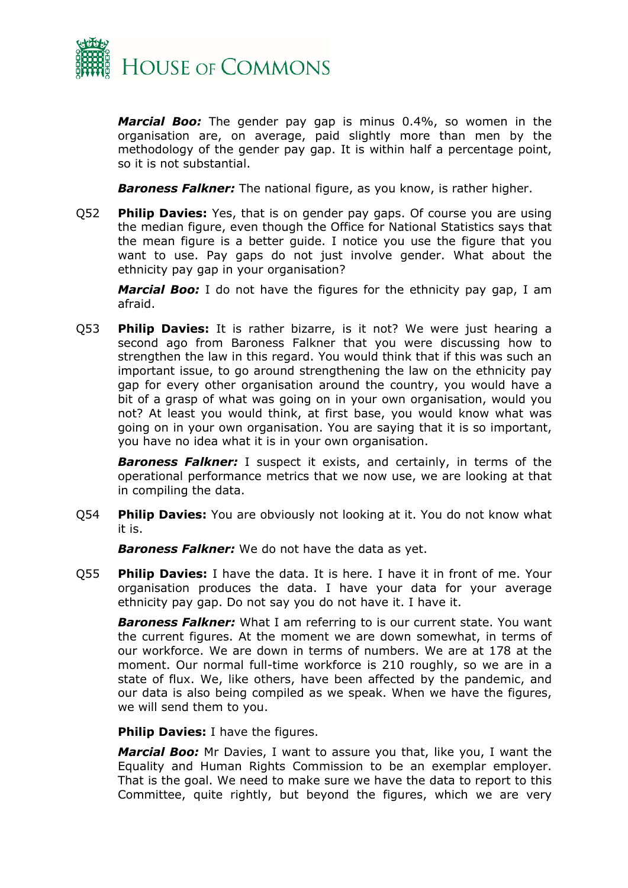

*Marcial Boo:* The gender pay gap is minus 0.4%, so women in the organisation are, on average, paid slightly more than men by the methodology of the gender pay gap. It is within half a percentage point, so it is not substantial.

*Baroness Falkner:* The national figure, as you know, is rather higher.

Q52 **Philip Davies:** Yes, that is on gender pay gaps. Of course you are using the median figure, even though the Office for National Statistics says that the mean figure is a better guide. I notice you use the figure that you want to use. Pay gaps do not just involve gender. What about the ethnicity pay gap in your organisation?

*Marcial Boo:* I do not have the figures for the ethnicity pay gap, I am afraid.

Q53 **Philip Davies:** It is rather bizarre, is it not? We were just hearing a second ago from Baroness Falkner that you were discussing how to strengthen the law in this regard. You would think that if this was such an important issue, to go around strengthening the law on the ethnicity pay gap for every other organisation around the country, you would have a bit of a grasp of what was going on in your own organisation, would you not? At least you would think, at first base, you would know what was going on in your own organisation. You are saying that it is so important, you have no idea what it is in your own organisation.

*Baroness Falkner:* I suspect it exists, and certainly, in terms of the operational performance metrics that we now use, we are looking at that in compiling the data.

Q54 **Philip Davies:** You are obviously not looking at it. You do not know what it is.

*Baroness Falkner:* We do not have the data as yet.

Q55 **Philip Davies:** I have the data. It is here. I have it in front of me. Your organisation produces the data. I have your data for your average ethnicity pay gap. Do not say you do not have it. I have it.

*Baroness Falkner:* What I am referring to is our current state. You want the current figures. At the moment we are down somewhat, in terms of our workforce. We are down in terms of numbers. We are at 178 at the moment. Our normal full-time workforce is 210 roughly, so we are in a state of flux. We, like others, have been affected by the pandemic, and our data is also being compiled as we speak. When we have the figures, we will send them to you.

**Philip Davies:** I have the figures.

*Marcial Boo:* Mr Davies, I want to assure you that, like you, I want the Equality and Human Rights Commission to be an exemplar employer. That is the goal. We need to make sure we have the data to report to this Committee, quite rightly, but beyond the figures, which we are very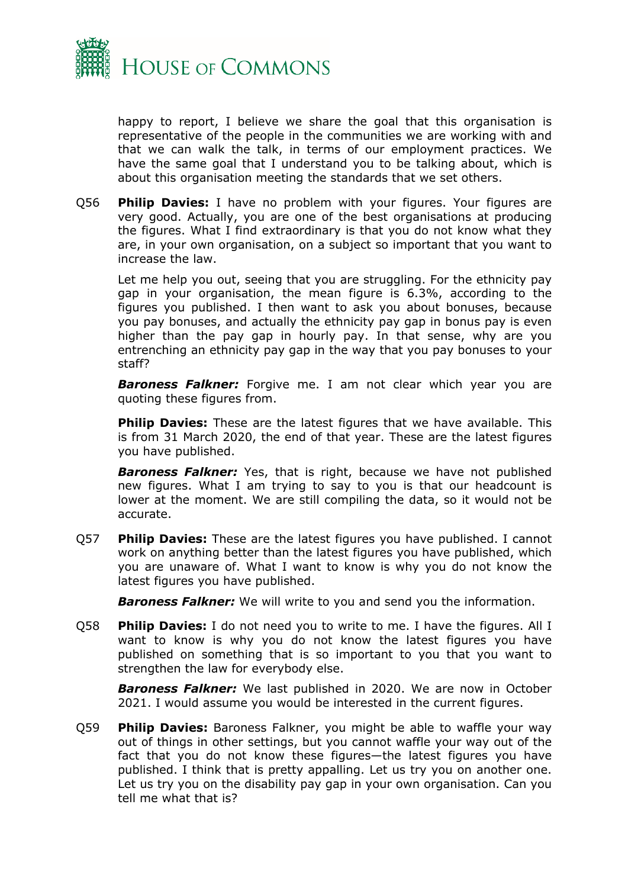

happy to report, I believe we share the goal that this organisation is representative of the people in the communities we are working with and that we can walk the talk, in terms of our employment practices. We have the same goal that I understand you to be talking about, which is about this organisation meeting the standards that we set others.

Q56 **Philip Davies:** I have no problem with your figures. Your figures are very good. Actually, you are one of the best organisations at producing the figures. What I find extraordinary is that you do not know what they are, in your own organisation, on a subject so important that you want to increase the law.

Let me help you out, seeing that you are struggling. For the ethnicity pay gap in your organisation, the mean figure is 6.3%, according to the figures you published. I then want to ask you about bonuses, because you pay bonuses, and actually the ethnicity pay gap in bonus pay is even higher than the pay gap in hourly pay. In that sense, why are you entrenching an ethnicity pay gap in the way that you pay bonuses to your staff?

*Baroness Falkner:* Forgive me. I am not clear which year you are quoting these figures from.

**Philip Davies:** These are the latest figures that we have available. This is from 31 March 2020, the end of that year. These are the latest figures you have published.

*Baroness Falkner:* Yes, that is right, because we have not published new figures. What I am trying to say to you is that our headcount is lower at the moment. We are still compiling the data, so it would not be accurate.

Q57 **Philip Davies:** These are the latest figures you have published. I cannot work on anything better than the latest figures you have published, which you are unaware of. What I want to know is why you do not know the latest figures you have published.

*Baroness Falkner:* We will write to you and send you the information.

Q58 **Philip Davies:** I do not need you to write to me. I have the figures. All I want to know is why you do not know the latest figures you have published on something that is so important to you that you want to strengthen the law for everybody else.

*Baroness Falkner:* We last published in 2020. We are now in October 2021. I would assume you would be interested in the current figures.

Q59 **Philip Davies:** Baroness Falkner, you might be able to waffle your way out of things in other settings, but you cannot waffle your way out of the fact that you do not know these figures—the latest figures you have published. I think that is pretty appalling. Let us try you on another one. Let us try you on the disability pay gap in your own organisation. Can you tell me what that is?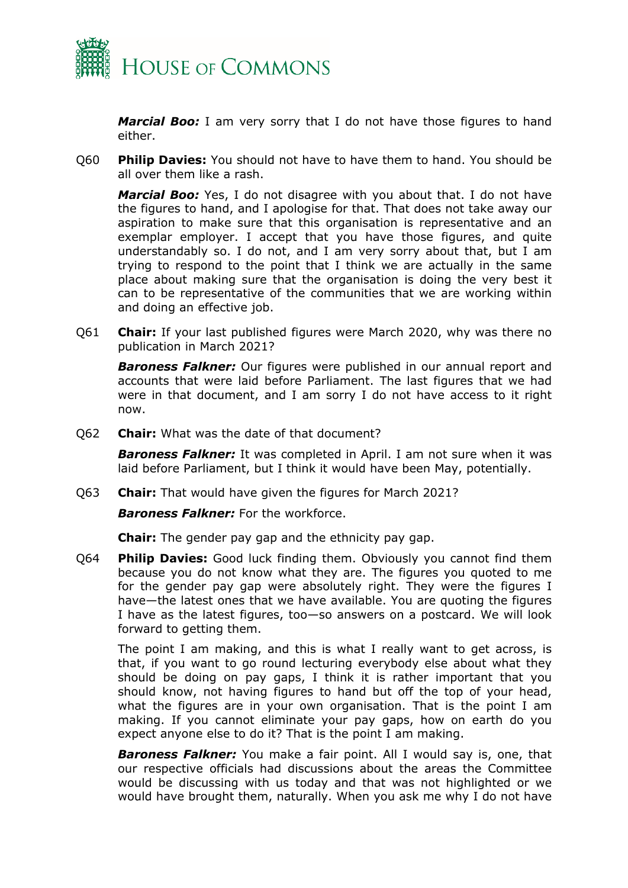

*Marcial Boo:* I am very sorry that I do not have those figures to hand either.

Q60 **Philip Davies:** You should not have to have them to hand. You should be all over them like a rash.

*Marcial Boo:* Yes, I do not disagree with you about that. I do not have the figures to hand, and I apologise for that. That does not take away our aspiration to make sure that this organisation is representative and an exemplar employer. I accept that you have those figures, and quite understandably so. I do not, and I am very sorry about that, but I am trying to respond to the point that I think we are actually in the same place about making sure that the organisation is doing the very best it can to be representative of the communities that we are working within and doing an effective job.

Q61 **Chair:** If your last published figures were March 2020, why was there no publication in March 2021?

*Baroness Falkner:* Our figures were published in our annual report and accounts that were laid before Parliament. The last figures that we had were in that document, and I am sorry I do not have access to it right now.

Q62 **Chair:** What was the date of that document?

*Baroness Falkner:* It was completed in April. I am not sure when it was laid before Parliament, but I think it would have been May, potentially.

Q63 **Chair:** That would have given the figures for March 2021?

*Baroness Falkner:* For the workforce.

**Chair:** The gender pay gap and the ethnicity pay gap.

Q64 **Philip Davies:** Good luck finding them. Obviously you cannot find them because you do not know what they are. The figures you quoted to me for the gender pay gap were absolutely right. They were the figures I have—the latest ones that we have available. You are quoting the figures I have as the latest figures, too—so answers on a postcard. We will look forward to getting them.

The point I am making, and this is what I really want to get across, is that, if you want to go round lecturing everybody else about what they should be doing on pay gaps, I think it is rather important that you should know, not having figures to hand but off the top of your head, what the figures are in your own organisation. That is the point I am making. If you cannot eliminate your pay gaps, how on earth do you expect anyone else to do it? That is the point I am making.

*Baroness Falkner:* You make a fair point. All I would say is, one, that our respective officials had discussions about the areas the Committee would be discussing with us today and that was not highlighted or we would have brought them, naturally. When you ask me why I do not have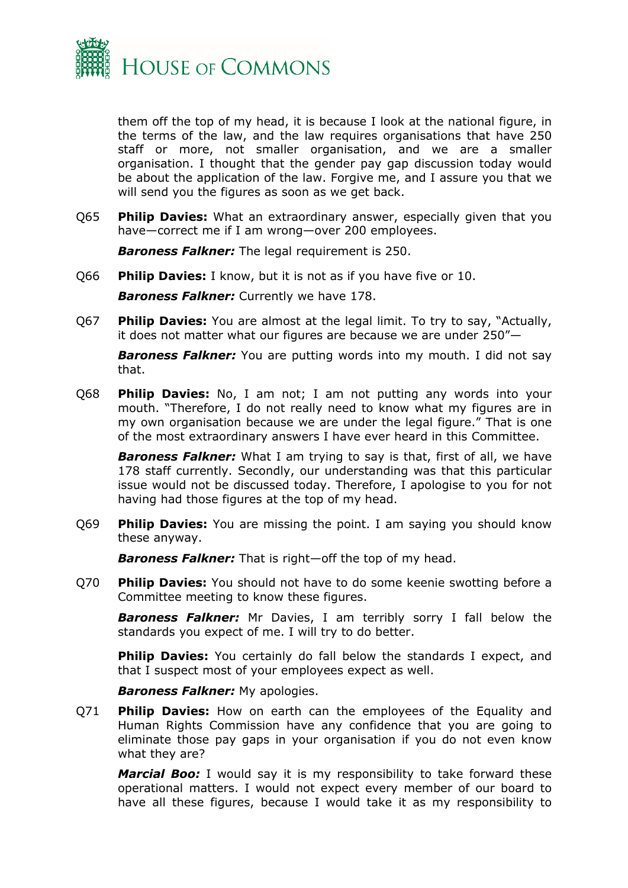

them off the top of my head, it is because I look at the national figure, in the terms of the law, and the law requires organisations that have 250 staff or more, not smaller organisation, and we are a smaller organisation. I thought that the gender pay gap discussion today would be about the application of the law. Forgive me, and I assure you that we will send you the figures as soon as we get back.

Q65 **Philip Davies:** What an extraordinary answer, especially given that you have—correct me if I am wrong—over 200 employees.

*Baroness Falkner:* The legal requirement is 250.

Q66 **Philip Davies:** I know, but it is not as if you have five or 10.

*Baroness Falkner:* Currently we have 178.

Q67 **Philip Davies:** You are almost at the legal limit. To try to say, "Actually, it does not matter what our figures are because we are under 250"—

*Baroness Falkner:* You are putting words into my mouth. I did not say that.

Q68 **Philip Davies:** No, I am not; I am not putting any words into your mouth. "Therefore, I do not really need to know what my figures are in my own organisation because we are under the legal figure." That is one of the most extraordinary answers I have ever heard in this Committee.

*Baroness Falkner:* What I am trying to say is that, first of all, we have 178 staff currently. Secondly, our understanding was that this particular issue would not be discussed today. Therefore, I apologise to you for not having had those figures at the top of my head.

Q69 **Philip Davies:** You are missing the point. I am saying you should know these anyway.

*Baroness Falkner:* That is right—off the top of my head.

Q70 **Philip Davies:** You should not have to do some keenie swotting before a Committee meeting to know these figures.

*Baroness Falkner:* Mr Davies, I am terribly sorry I fall below the standards you expect of me. I will try to do better.

**Philip Davies:** You certainly do fall below the standards I expect, and that I suspect most of your employees expect as well.

*Baroness Falkner:* My apologies.

Q71 **Philip Davies:** How on earth can the employees of the Equality and Human Rights Commission have any confidence that you are going to eliminate those pay gaps in your organisation if you do not even know what they are?

*Marcial Boo:* I would say it is my responsibility to take forward these operational matters. I would not expect every member of our board to have all these figures, because I would take it as my responsibility to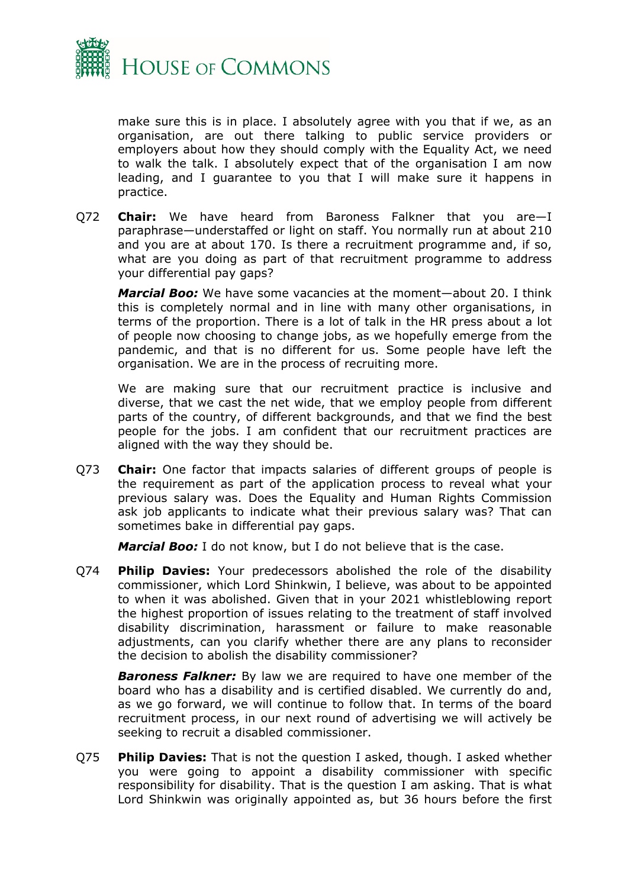

make sure this is in place. I absolutely agree with you that if we, as an organisation, are out there talking to public service providers or employers about how they should comply with the Equality Act, we need to walk the talk. I absolutely expect that of the organisation I am now leading, and I guarantee to you that I will make sure it happens in practice.

Q72 **Chair:** We have heard from Baroness Falkner that you are—I paraphrase—understaffed or light on staff. You normally run at about 210 and you are at about 170. Is there a recruitment programme and, if so, what are you doing as part of that recruitment programme to address your differential pay gaps?

*Marcial Boo:* We have some vacancies at the moment—about 20. I think this is completely normal and in line with many other organisations, in terms of the proportion. There is a lot of talk in the HR press about a lot of people now choosing to change jobs, as we hopefully emerge from the pandemic, and that is no different for us. Some people have left the organisation. We are in the process of recruiting more.

We are making sure that our recruitment practice is inclusive and diverse, that we cast the net wide, that we employ people from different parts of the country, of different backgrounds, and that we find the best people for the jobs. I am confident that our recruitment practices are aligned with the way they should be.

Q73 **Chair:** One factor that impacts salaries of different groups of people is the requirement as part of the application process to reveal what your previous salary was. Does the Equality and Human Rights Commission ask job applicants to indicate what their previous salary was? That can sometimes bake in differential pay gaps.

*Marcial Boo:* I do not know, but I do not believe that is the case.

Q74 **Philip Davies:** Your predecessors abolished the role of the disability commissioner, which Lord Shinkwin, I believe, was about to be appointed to when it was abolished. Given that in your 2021 whistleblowing report the highest proportion of issues relating to the treatment of staff involved disability discrimination, harassment or failure to make reasonable adjustments, can you clarify whether there are any plans to reconsider the decision to abolish the disability commissioner?

*Baroness Falkner:* By law we are required to have one member of the board who has a disability and is certified disabled. We currently do and, as we go forward, we will continue to follow that. In terms of the board recruitment process, in our next round of advertising we will actively be seeking to recruit a disabled commissioner.

Q75 **Philip Davies:** That is not the question I asked, though. I asked whether you were going to appoint a disability commissioner with specific responsibility for disability. That is the question I am asking. That is what Lord Shinkwin was originally appointed as, but 36 hours before the first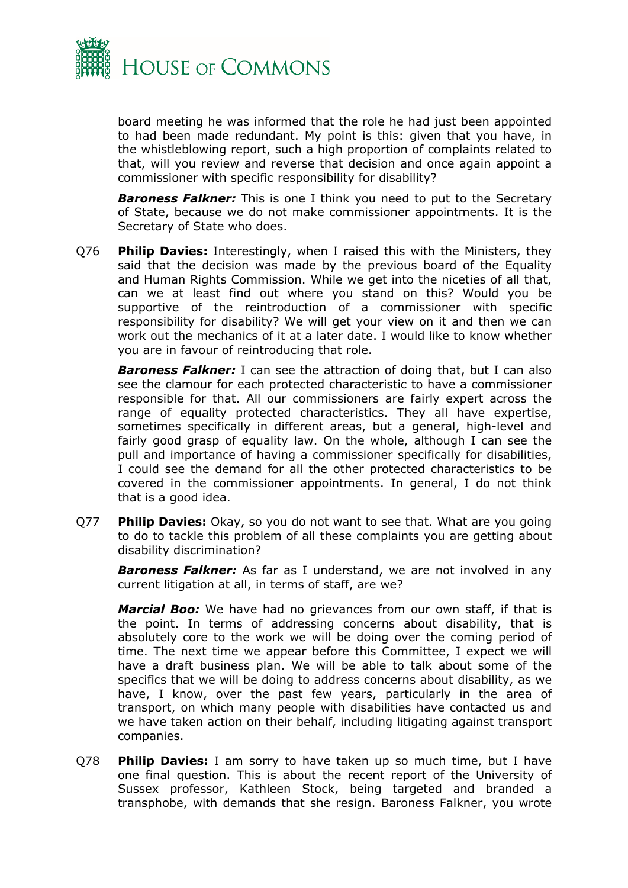

board meeting he was informed that the role he had just been appointed to had been made redundant. My point is this: given that you have, in the whistleblowing report, such a high proportion of complaints related to that, will you review and reverse that decision and once again appoint a commissioner with specific responsibility for disability?

*Baroness Falkner:* This is one I think you need to put to the Secretary of State, because we do not make commissioner appointments. It is the Secretary of State who does.

Q76 **Philip Davies:** Interestingly, when I raised this with the Ministers, they said that the decision was made by the previous board of the Equality and Human Rights Commission. While we get into the niceties of all that, can we at least find out where you stand on this? Would you be supportive of the reintroduction of a commissioner with specific responsibility for disability? We will get your view on it and then we can work out the mechanics of it at a later date. I would like to know whether you are in favour of reintroducing that role.

*Baroness Falkner:* I can see the attraction of doing that, but I can also see the clamour for each protected characteristic to have a commissioner responsible for that. All our commissioners are fairly expert across the range of equality protected characteristics. They all have expertise, sometimes specifically in different areas, but a general, high-level and fairly good grasp of equality law. On the whole, although I can see the pull and importance of having a commissioner specifically for disabilities, I could see the demand for all the other protected characteristics to be covered in the commissioner appointments. In general, I do not think that is a good idea.

Q77 **Philip Davies:** Okay, so you do not want to see that. What are you going to do to tackle this problem of all these complaints you are getting about disability discrimination?

*Baroness Falkner:* As far as I understand, we are not involved in any current litigation at all, in terms of staff, are we?

*Marcial Boo:* We have had no grievances from our own staff, if that is the point. In terms of addressing concerns about disability, that is absolutely core to the work we will be doing over the coming period of time. The next time we appear before this Committee, I expect we will have a draft business plan. We will be able to talk about some of the specifics that we will be doing to address concerns about disability, as we have, I know, over the past few years, particularly in the area of transport, on which many people with disabilities have contacted us and we have taken action on their behalf, including litigating against transport companies.

Q78 **Philip Davies:** I am sorry to have taken up so much time, but I have one final question. This is about the recent report of the University of Sussex professor, Kathleen Stock, being targeted and branded a transphobe, with demands that she resign. Baroness Falkner, you wrote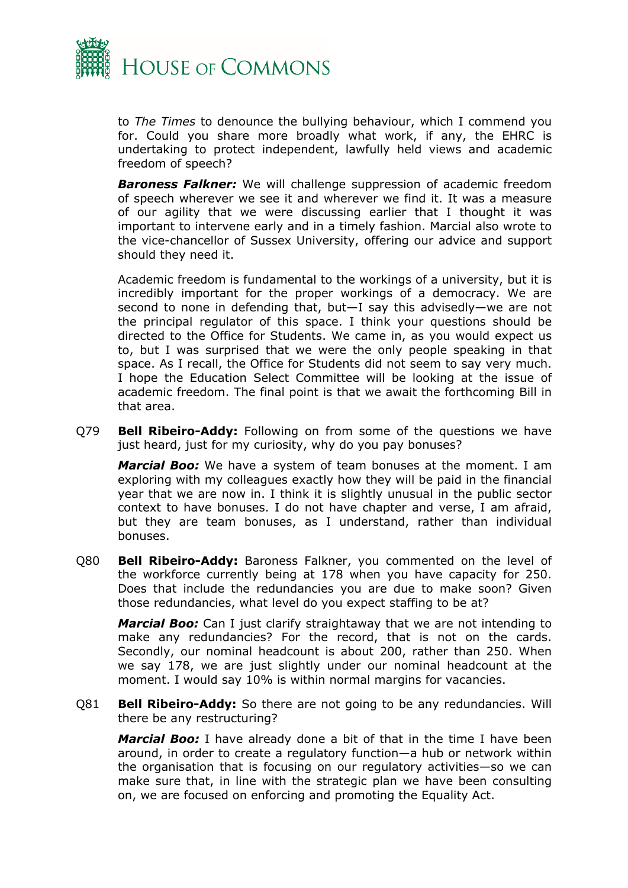

to *The Times* to denounce the bullying behaviour, which I commend you for. Could you share more broadly what work, if any, the EHRC is undertaking to protect independent, lawfully held views and academic freedom of speech?

*Baroness Falkner:* We will challenge suppression of academic freedom of speech wherever we see it and wherever we find it. It was a measure of our agility that we were discussing earlier that I thought it was important to intervene early and in a timely fashion. Marcial also wrote to the vice-chancellor of Sussex University, offering our advice and support should they need it.

Academic freedom is fundamental to the workings of a university, but it is incredibly important for the proper workings of a democracy. We are second to none in defending that, but—I say this advisedly—we are not the principal regulator of this space. I think your questions should be directed to the Office for Students. We came in, as you would expect us to, but I was surprised that we were the only people speaking in that space. As I recall, the Office for Students did not seem to say very much. I hope the Education Select Committee will be looking at the issue of academic freedom. The final point is that we await the forthcoming Bill in that area.

Q79 **Bell Ribeiro-Addy:** Following on from some of the questions we have just heard, just for my curiosity, why do you pay bonuses?

*Marcial Boo:* We have a system of team bonuses at the moment. I am exploring with my colleagues exactly how they will be paid in the financial year that we are now in. I think it is slightly unusual in the public sector context to have bonuses. I do not have chapter and verse, I am afraid, but they are team bonuses, as I understand, rather than individual bonuses.

Q80 **Bell Ribeiro-Addy:** Baroness Falkner, you commented on the level of the workforce currently being at 178 when you have capacity for 250. Does that include the redundancies you are due to make soon? Given those redundancies, what level do you expect staffing to be at?

*Marcial Boo:* Can I just clarify straightaway that we are not intending to make any redundancies? For the record, that is not on the cards. Secondly, our nominal headcount is about 200, rather than 250. When we say 178, we are just slightly under our nominal headcount at the moment. I would say 10% is within normal margins for vacancies.

Q81 **Bell Ribeiro-Addy:** So there are not going to be any redundancies. Will there be any restructuring?

*Marcial Boo:* I have already done a bit of that in the time I have been around, in order to create a regulatory function—a hub or network within the organisation that is focusing on our regulatory activities—so we can make sure that, in line with the strategic plan we have been consulting on, we are focused on enforcing and promoting the Equality Act.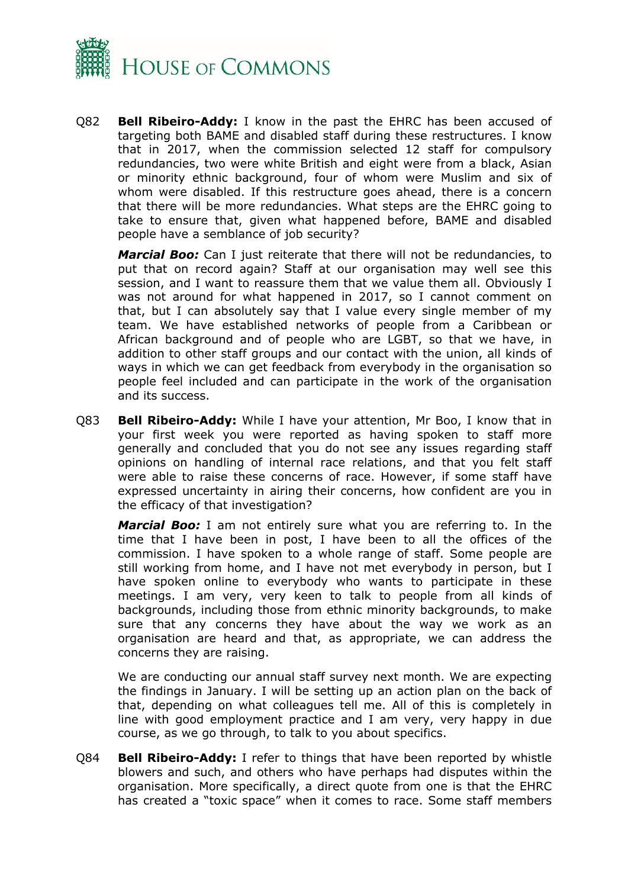

Q82 **Bell Ribeiro-Addy:** I know in the past the EHRC has been accused of targeting both BAME and disabled staff during these restructures. I know that in 2017, when the commission selected 12 staff for compulsory redundancies, two were white British and eight were from a black, Asian or minority ethnic background, four of whom were Muslim and six of whom were disabled. If this restructure goes ahead, there is a concern that there will be more redundancies. What steps are the EHRC going to take to ensure that, given what happened before, BAME and disabled people have a semblance of job security?

*Marcial Boo:* Can I just reiterate that there will not be redundancies, to put that on record again? Staff at our organisation may well see this session, and I want to reassure them that we value them all. Obviously I was not around for what happened in 2017, so I cannot comment on that, but I can absolutely say that I value every single member of my team. We have established networks of people from a Caribbean or African background and of people who are LGBT, so that we have, in addition to other staff groups and our contact with the union, all kinds of ways in which we can get feedback from everybody in the organisation so people feel included and can participate in the work of the organisation and its success.

Q83 **Bell Ribeiro-Addy:** While I have your attention, Mr Boo, I know that in your first week you were reported as having spoken to staff more generally and concluded that you do not see any issues regarding staff opinions on handling of internal race relations, and that you felt staff were able to raise these concerns of race. However, if some staff have expressed uncertainty in airing their concerns, how confident are you in the efficacy of that investigation?

*Marcial Boo:* I am not entirely sure what you are referring to. In the time that I have been in post, I have been to all the offices of the commission. I have spoken to a whole range of staff. Some people are still working from home, and I have not met everybody in person, but I have spoken online to everybody who wants to participate in these meetings. I am very, very keen to talk to people from all kinds of backgrounds, including those from ethnic minority backgrounds, to make sure that any concerns they have about the way we work as an organisation are heard and that, as appropriate, we can address the concerns they are raising.

We are conducting our annual staff survey next month. We are expecting the findings in January. I will be setting up an action plan on the back of that, depending on what colleagues tell me. All of this is completely in line with good employment practice and I am very, very happy in due course, as we go through, to talk to you about specifics.

Q84 **Bell Ribeiro-Addy:** I refer to things that have been reported by whistle blowers and such, and others who have perhaps had disputes within the organisation. More specifically, a direct quote from one is that the EHRC has created a "toxic space" when it comes to race. Some staff members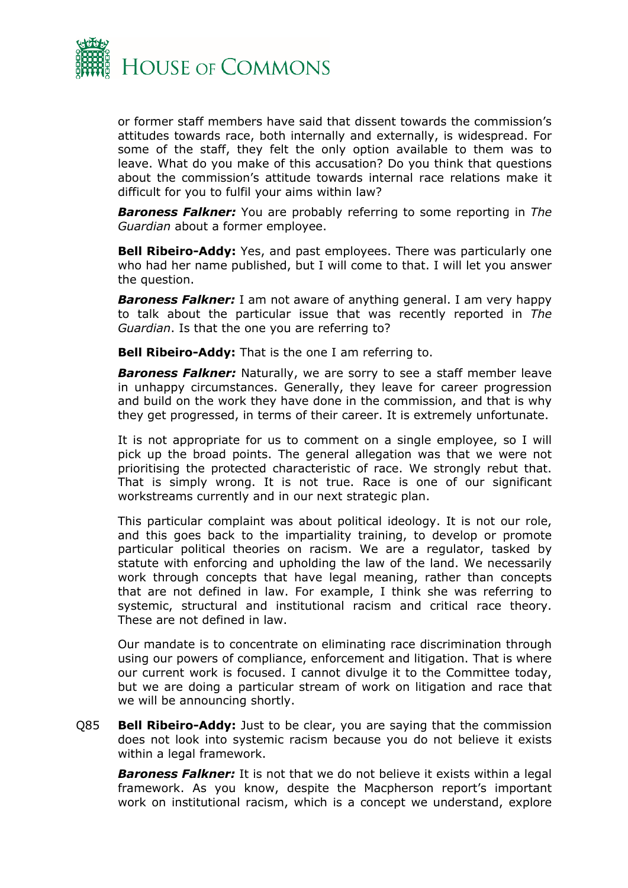

or former staff members have said that dissent towards the commission's attitudes towards race, both internally and externally, is widespread. For some of the staff, they felt the only option available to them was to leave. What do you make of this accusation? Do you think that questions about the commission's attitude towards internal race relations make it difficult for you to fulfil your aims within law?

*Baroness Falkner:* You are probably referring to some reporting in *The Guardian* about a former employee.

**Bell Ribeiro-Addy:** Yes, and past employees. There was particularly one who had her name published, but I will come to that. I will let you answer the question.

*Baroness Falkner:* I am not aware of anything general. I am very happy to talk about the particular issue that was recently reported in *The Guardian*. Is that the one you are referring to?

**Bell Ribeiro-Addy:** That is the one I am referring to.

*Baroness Falkner:* Naturally, we are sorry to see a staff member leave in unhappy circumstances. Generally, they leave for career progression and build on the work they have done in the commission, and that is why they get progressed, in terms of their career. It is extremely unfortunate.

It is not appropriate for us to comment on a single employee, so I will pick up the broad points. The general allegation was that we were not prioritising the protected characteristic of race. We strongly rebut that. That is simply wrong. It is not true. Race is one of our significant workstreams currently and in our next strategic plan.

This particular complaint was about political ideology. It is not our role, and this goes back to the impartiality training, to develop or promote particular political theories on racism. We are a regulator, tasked by statute with enforcing and upholding the law of the land. We necessarily work through concepts that have legal meaning, rather than concepts that are not defined in law. For example, I think she was referring to systemic, structural and institutional racism and critical race theory. These are not defined in law.

Our mandate is to concentrate on eliminating race discrimination through using our powers of compliance, enforcement and litigation. That is where our current work is focused. I cannot divulge it to the Committee today, but we are doing a particular stream of work on litigation and race that we will be announcing shortly.

Q85 **Bell Ribeiro-Addy:** Just to be clear, you are saying that the commission does not look into systemic racism because you do not believe it exists within a legal framework.

*Baroness Falkner:* It is not that we do not believe it exists within a legal framework. As you know, despite the Macpherson report's important work on institutional racism, which is a concept we understand, explore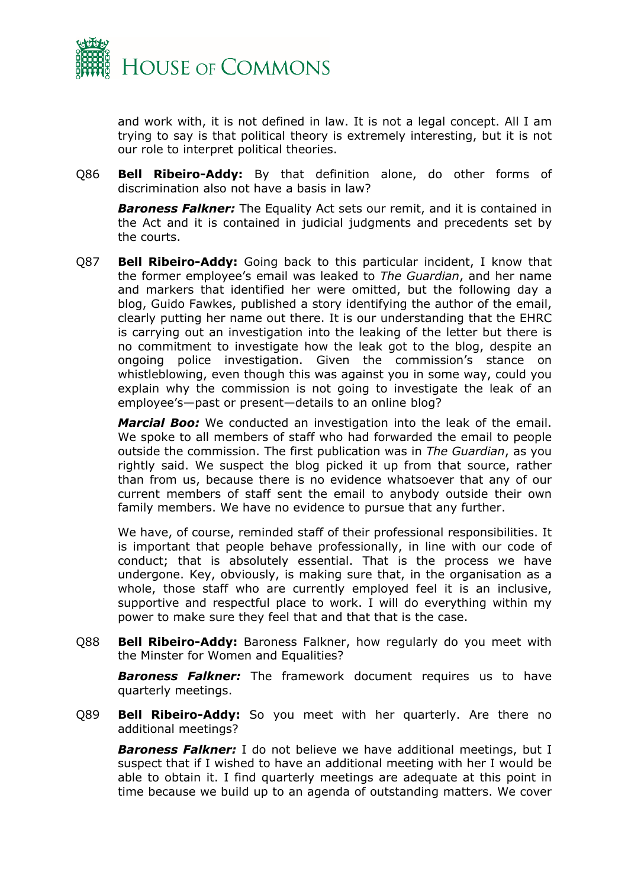

and work with, it is not defined in law. It is not a legal concept. All I am trying to say is that political theory is extremely interesting, but it is not our role to interpret political theories.

Q86 **Bell Ribeiro-Addy:** By that definition alone, do other forms of discrimination also not have a basis in law?

*Baroness Falkner:* The Equality Act sets our remit, and it is contained in the Act and it is contained in judicial judgments and precedents set by the courts.

Q87 **Bell Ribeiro-Addy:** Going back to this particular incident, I know that the former employee's email was leaked to *The Guardian*, and her name and markers that identified her were omitted, but the following day a blog, Guido Fawkes, published a story identifying the author of the email, clearly putting her name out there. It is our understanding that the EHRC is carrying out an investigation into the leaking of the letter but there is no commitment to investigate how the leak got to the blog, despite an ongoing police investigation. Given the commission's stance on whistleblowing, even though this was against you in some way, could you explain why the commission is not going to investigate the leak of an employee's—past or present—details to an online blog?

*Marcial Boo:* We conducted an investigation into the leak of the email. We spoke to all members of staff who had forwarded the email to people outside the commission. The first publication was in *The Guardian*, as you rightly said. We suspect the blog picked it up from that source, rather than from us, because there is no evidence whatsoever that any of our current members of staff sent the email to anybody outside their own family members. We have no evidence to pursue that any further.

We have, of course, reminded staff of their professional responsibilities. It is important that people behave professionally, in line with our code of conduct; that is absolutely essential. That is the process we have undergone. Key, obviously, is making sure that, in the organisation as a whole, those staff who are currently employed feel it is an inclusive, supportive and respectful place to work. I will do everything within my power to make sure they feel that and that that is the case.

Q88 **Bell Ribeiro-Addy:** Baroness Falkner, how regularly do you meet with the Minster for Women and Equalities?

*Baroness Falkner:* The framework document requires us to have quarterly meetings.

Q89 **Bell Ribeiro-Addy:** So you meet with her quarterly. Are there no additional meetings?

*Baroness Falkner:* I do not believe we have additional meetings, but I suspect that if I wished to have an additional meeting with her I would be able to obtain it. I find quarterly meetings are adequate at this point in time because we build up to an agenda of outstanding matters. We cover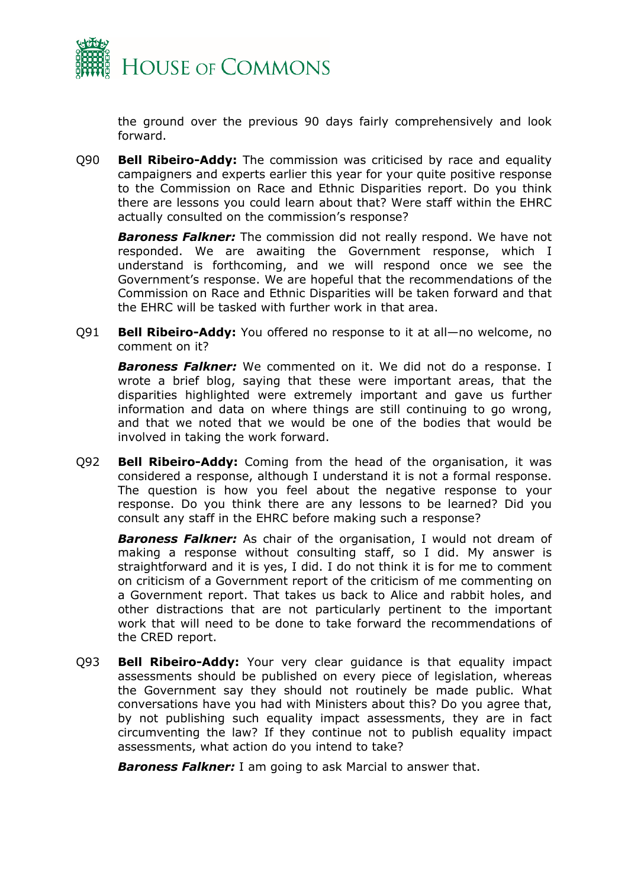

the ground over the previous 90 days fairly comprehensively and look forward.

Q90 **Bell Ribeiro-Addy:** The commission was criticised by race and equality campaigners and experts earlier this year for your quite positive response to the Commission on Race and Ethnic Disparities report. Do you think there are lessons you could learn about that? Were staff within the EHRC actually consulted on the commission's response?

*Baroness Falkner:* The commission did not really respond. We have not responded. We are awaiting the Government response, which I understand is forthcoming, and we will respond once we see the Government's response. We are hopeful that the recommendations of the Commission on Race and Ethnic Disparities will be taken forward and that the EHRC will be tasked with further work in that area.

Q91 **Bell Ribeiro-Addy:** You offered no response to it at all—no welcome, no comment on it?

*Baroness Falkner:* We commented on it. We did not do a response. I wrote a brief blog, saying that these were important areas, that the disparities highlighted were extremely important and gave us further information and data on where things are still continuing to go wrong, and that we noted that we would be one of the bodies that would be involved in taking the work forward.

Q92 **Bell Ribeiro-Addy:** Coming from the head of the organisation, it was considered a response, although I understand it is not a formal response. The question is how you feel about the negative response to your response. Do you think there are any lessons to be learned? Did you consult any staff in the EHRC before making such a response?

*Baroness Falkner:* As chair of the organisation, I would not dream of making a response without consulting staff, so I did. My answer is straightforward and it is yes, I did. I do not think it is for me to comment on criticism of a Government report of the criticism of me commenting on a Government report. That takes us back to Alice and rabbit holes, and other distractions that are not particularly pertinent to the important work that will need to be done to take forward the recommendations of the CRED report.

Q93 **Bell Ribeiro-Addy:** Your very clear guidance is that equality impact assessments should be published on every piece of legislation, whereas the Government say they should not routinely be made public. What conversations have you had with Ministers about this? Do you agree that, by not publishing such equality impact assessments, they are in fact circumventing the law? If they continue not to publish equality impact assessments, what action do you intend to take?

**Baroness Falkner:** I am going to ask Marcial to answer that.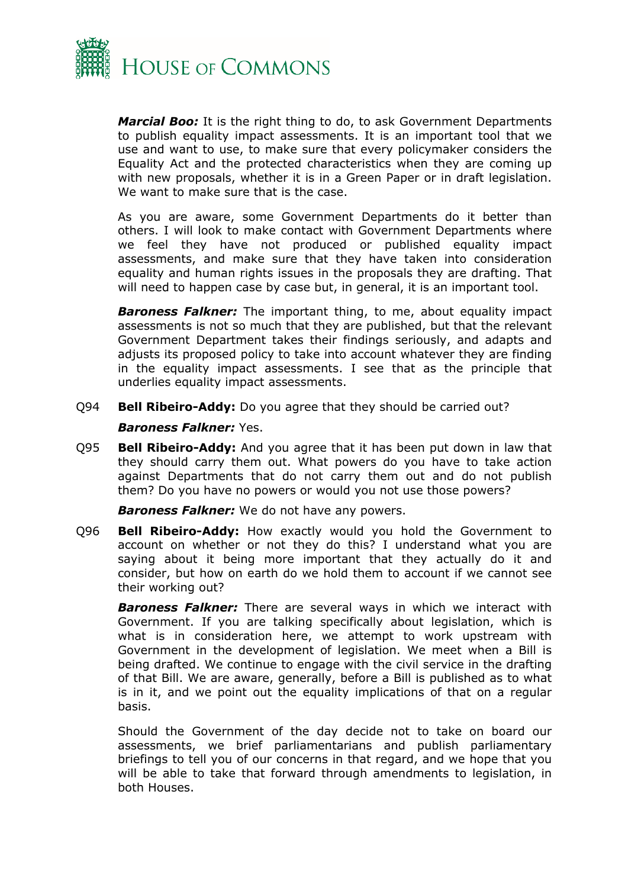

*Marcial Boo:* It is the right thing to do, to ask Government Departments to publish equality impact assessments. It is an important tool that we use and want to use, to make sure that every policymaker considers the Equality Act and the protected characteristics when they are coming up with new proposals, whether it is in a Green Paper or in draft legislation. We want to make sure that is the case.

As you are aware, some Government Departments do it better than others. I will look to make contact with Government Departments where we feel they have not produced or published equality impact assessments, and make sure that they have taken into consideration equality and human rights issues in the proposals they are drafting. That will need to happen case by case but, in general, it is an important tool.

*Baroness Falkner:* The important thing, to me, about equality impact assessments is not so much that they are published, but that the relevant Government Department takes their findings seriously, and adapts and adjusts its proposed policy to take into account whatever they are finding in the equality impact assessments. I see that as the principle that underlies equality impact assessments.

Q94 **Bell Ribeiro-Addy:** Do you agree that they should be carried out?

#### *Baroness Falkner:* Yes.

Q95 **Bell Ribeiro-Addy:** And you agree that it has been put down in law that they should carry them out. What powers do you have to take action against Departments that do not carry them out and do not publish them? Do you have no powers or would you not use those powers?

*Baroness Falkner:* We do not have any powers.

Q96 **Bell Ribeiro-Addy:** How exactly would you hold the Government to account on whether or not they do this? I understand what you are saying about it being more important that they actually do it and consider, but how on earth do we hold them to account if we cannot see their working out?

*Baroness Falkner:* There are several ways in which we interact with Government. If you are talking specifically about legislation, which is what is in consideration here, we attempt to work upstream with Government in the development of legislation. We meet when a Bill is being drafted. We continue to engage with the civil service in the drafting of that Bill. We are aware, generally, before a Bill is published as to what is in it, and we point out the equality implications of that on a regular basis.

Should the Government of the day decide not to take on board our assessments, we brief parliamentarians and publish parliamentary briefings to tell you of our concerns in that regard, and we hope that you will be able to take that forward through amendments to legislation, in both Houses.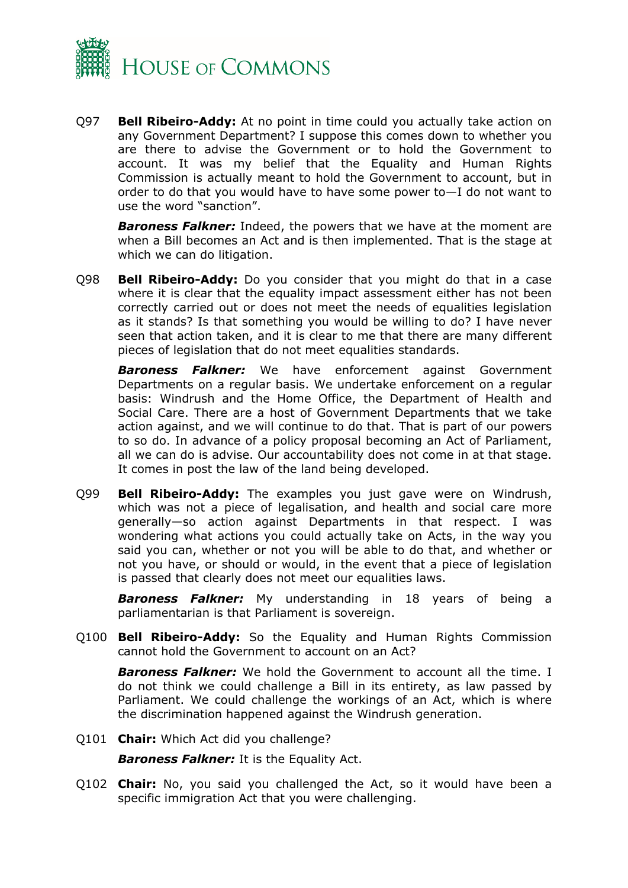

Q97 **Bell Ribeiro-Addy:** At no point in time could you actually take action on any Government Department? I suppose this comes down to whether you are there to advise the Government or to hold the Government to account. It was my belief that the Equality and Human Rights Commission is actually meant to hold the Government to account, but in order to do that you would have to have some power to—I do not want to use the word "sanction".

*Baroness Falkner:* Indeed, the powers that we have at the moment are when a Bill becomes an Act and is then implemented. That is the stage at which we can do litigation.

Q98 **Bell Ribeiro-Addy:** Do you consider that you might do that in a case where it is clear that the equality impact assessment either has not been correctly carried out or does not meet the needs of equalities legislation as it stands? Is that something you would be willing to do? I have never seen that action taken, and it is clear to me that there are many different pieces of legislation that do not meet equalities standards.

*Baroness Falkner:* We have enforcement against Government Departments on a regular basis. We undertake enforcement on a regular basis: Windrush and the Home Office, the Department of Health and Social Care. There are a host of Government Departments that we take action against, and we will continue to do that. That is part of our powers to so do. In advance of a policy proposal becoming an Act of Parliament, all we can do is advise. Our accountability does not come in at that stage. It comes in post the law of the land being developed.

Q99 **Bell Ribeiro-Addy:** The examples you just gave were on Windrush, which was not a piece of legalisation, and health and social care more generally—so action against Departments in that respect. I was wondering what actions you could actually take on Acts, in the way you said you can, whether or not you will be able to do that, and whether or not you have, or should or would, in the event that a piece of legislation is passed that clearly does not meet our equalities laws.

*Baroness Falkner:* My understanding in 18 years of being a parliamentarian is that Parliament is sovereign.

Q100 **Bell Ribeiro-Addy:** So the Equality and Human Rights Commission cannot hold the Government to account on an Act?

*Baroness Falkner:* We hold the Government to account all the time. I do not think we could challenge a Bill in its entirety, as law passed by Parliament. We could challenge the workings of an Act, which is where the discrimination happened against the Windrush generation.

Q101 **Chair:** Which Act did you challenge?

*Baroness Falkner:* It is the Equality Act.

Q102 **Chair:** No, you said you challenged the Act, so it would have been a specific immigration Act that you were challenging.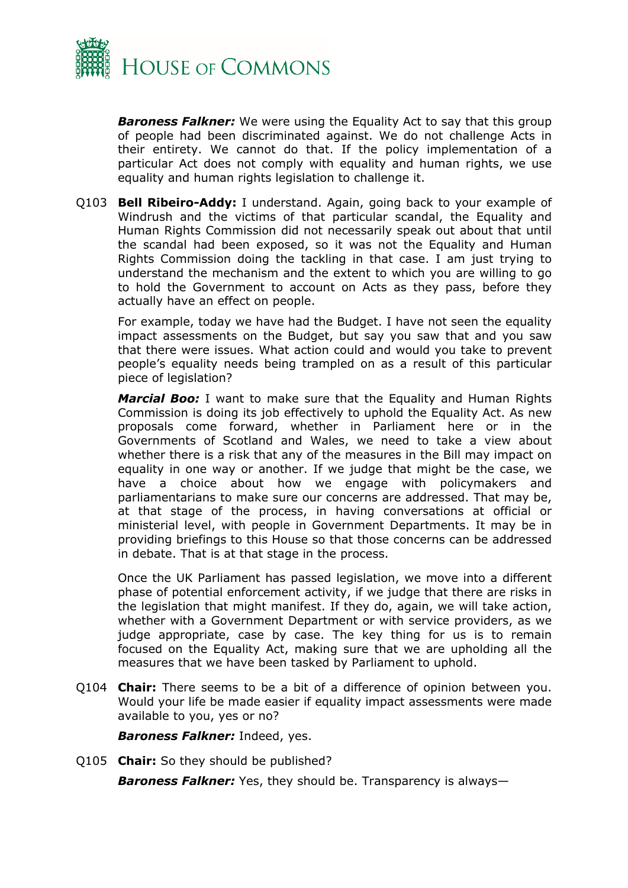

*Baroness Falkner:* We were using the Equality Act to say that this group of people had been discriminated against. We do not challenge Acts in their entirety. We cannot do that. If the policy implementation of a particular Act does not comply with equality and human rights, we use equality and human rights legislation to challenge it.

Q103 **Bell Ribeiro-Addy:** I understand. Again, going back to your example of Windrush and the victims of that particular scandal, the Equality and Human Rights Commission did not necessarily speak out about that until the scandal had been exposed, so it was not the Equality and Human Rights Commission doing the tackling in that case. I am just trying to understand the mechanism and the extent to which you are willing to go to hold the Government to account on Acts as they pass, before they actually have an effect on people.

For example, today we have had the Budget. I have not seen the equality impact assessments on the Budget, but say you saw that and you saw that there were issues. What action could and would you take to prevent people's equality needs being trampled on as a result of this particular piece of legislation?

*Marcial Boo:* I want to make sure that the Equality and Human Rights Commission is doing its job effectively to uphold the Equality Act. As new proposals come forward, whether in Parliament here or in the Governments of Scotland and Wales, we need to take a view about whether there is a risk that any of the measures in the Bill may impact on equality in one way or another. If we judge that might be the case, we have a choice about how we engage with policymakers and parliamentarians to make sure our concerns are addressed. That may be, at that stage of the process, in having conversations at official or ministerial level, with people in Government Departments. It may be in providing briefings to this House so that those concerns can be addressed in debate. That is at that stage in the process.

Once the UK Parliament has passed legislation, we move into a different phase of potential enforcement activity, if we judge that there are risks in the legislation that might manifest. If they do, again, we will take action, whether with a Government Department or with service providers, as we judge appropriate, case by case. The key thing for us is to remain focused on the Equality Act, making sure that we are upholding all the measures that we have been tasked by Parliament to uphold.

Q104 **Chair:** There seems to be a bit of a difference of opinion between you. Would your life be made easier if equality impact assessments were made available to you, yes or no?

*Baroness Falkner:* Indeed, yes.

Q105 **Chair:** So they should be published?

*Baroness Falkner:* Yes, they should be. Transparency is always—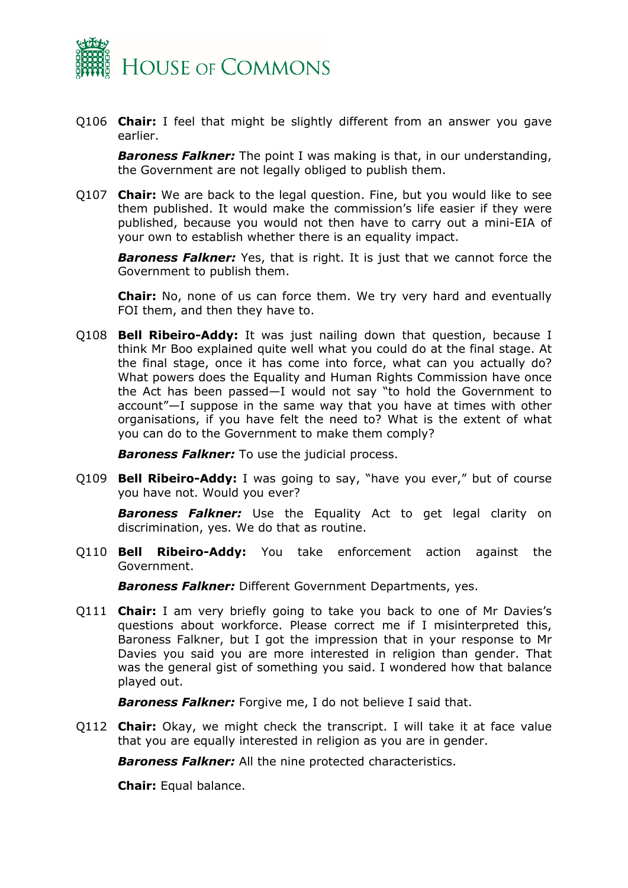

Q106 **Chair:** I feel that might be slightly different from an answer you gave earlier.

*Baroness Falkner:* The point I was making is that, in our understanding, the Government are not legally obliged to publish them.

Q107 **Chair:** We are back to the legal question. Fine, but you would like to see them published. It would make the commission's life easier if they were published, because you would not then have to carry out a mini-EIA of your own to establish whether there is an equality impact.

*Baroness Falkner:* Yes, that is right. It is just that we cannot force the Government to publish them.

**Chair:** No, none of us can force them. We try very hard and eventually FOI them, and then they have to.

Q108 **Bell Ribeiro-Addy:** It was just nailing down that question, because I think Mr Boo explained quite well what you could do at the final stage. At the final stage, once it has come into force, what can you actually do? What powers does the Equality and Human Rights Commission have once the Act has been passed—I would not say "to hold the Government to account"—I suppose in the same way that you have at times with other organisations, if you have felt the need to? What is the extent of what you can do to the Government to make them comply?

*Baroness Falkner:* To use the judicial process.

Q109 **Bell Ribeiro-Addy:** I was going to say, "have you ever," but of course you have not. Would you ever?

*Baroness Falkner:* Use the Equality Act to get legal clarity on discrimination, yes. We do that as routine.

Q110 **Bell Ribeiro-Addy:** You take enforcement action against the Government.

*Baroness Falkner:* Different Government Departments, yes.

Q111 **Chair:** I am very briefly going to take you back to one of Mr Davies's questions about workforce. Please correct me if I misinterpreted this, Baroness Falkner, but I got the impression that in your response to Mr Davies you said you are more interested in religion than gender. That was the general gist of something you said. I wondered how that balance played out.

*Baroness Falkner:* Forgive me, I do not believe I said that.

Q112 **Chair:** Okay, we might check the transcript. I will take it at face value that you are equally interested in religion as you are in gender.

*Baroness Falkner:* All the nine protected characteristics.

**Chair:** Equal balance.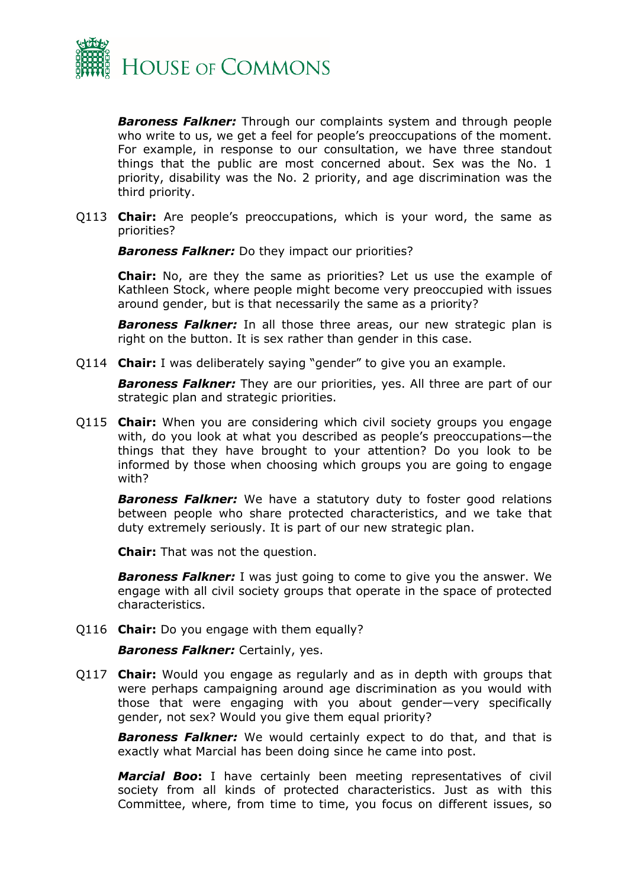

*Baroness Falkner:* Through our complaints system and through people who write to us, we get a feel for people's preoccupations of the moment. For example, in response to our consultation, we have three standout things that the public are most concerned about. Sex was the No. 1 priority, disability was the No. 2 priority, and age discrimination was the third priority.

Q113 **Chair:** Are people's preoccupations, which is your word, the same as priorities?

*Baroness Falkner:* Do they impact our priorities?

**Chair:** No, are they the same as priorities? Let us use the example of Kathleen Stock, where people might become very preoccupied with issues around gender, but is that necessarily the same as a priority?

*Baroness Falkner:* In all those three areas, our new strategic plan is right on the button. It is sex rather than gender in this case.

Q114 **Chair:** I was deliberately saying "gender" to give you an example.

*Baroness Falkner:* They are our priorities, yes. All three are part of our strategic plan and strategic priorities.

Q115 **Chair:** When you are considering which civil society groups you engage with, do you look at what you described as people's preoccupations—the things that they have brought to your attention? Do you look to be informed by those when choosing which groups you are going to engage with?

*Baroness Falkner:* We have a statutory duty to foster good relations between people who share protected characteristics, and we take that duty extremely seriously. It is part of our new strategic plan.

**Chair:** That was not the question.

*Baroness Falkner:* I was just going to come to give you the answer. We engage with all civil society groups that operate in the space of protected characteristics.

Q116 **Chair:** Do you engage with them equally?

*Baroness Falkner:* Certainly, yes.

Q117 **Chair:** Would you engage as regularly and as in depth with groups that were perhaps campaigning around age discrimination as you would with those that were engaging with you about gender—very specifically gender, not sex? Would you give them equal priority?

**Baroness Falkner:** We would certainly expect to do that, and that is exactly what Marcial has been doing since he came into post.

*Marcial Boo***:** I have certainly been meeting representatives of civil society from all kinds of protected characteristics. Just as with this Committee, where, from time to time, you focus on different issues, so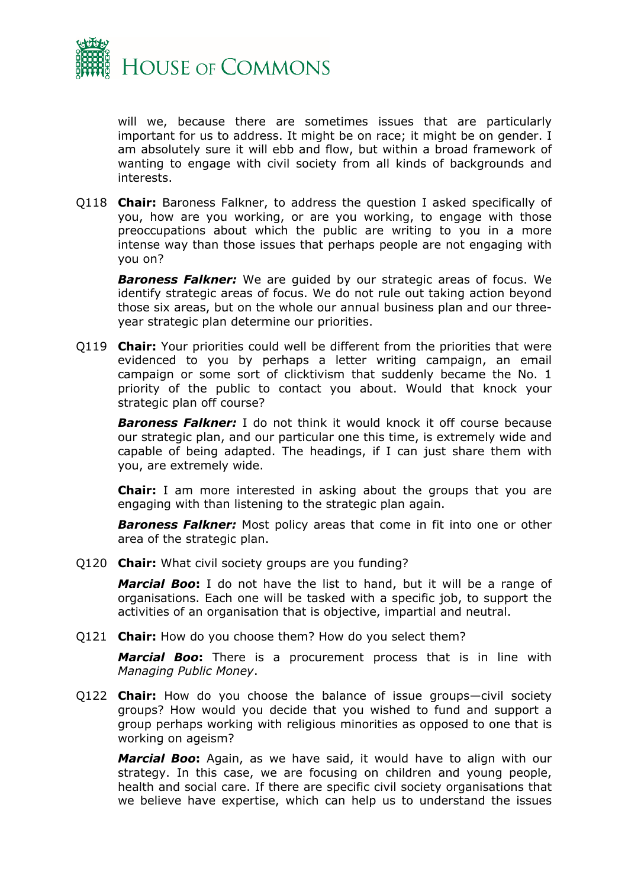

will we, because there are sometimes issues that are particularly important for us to address. It might be on race; it might be on gender. I am absolutely sure it will ebb and flow, but within a broad framework of wanting to engage with civil society from all kinds of backgrounds and interests.

Q118 **Chair:** Baroness Falkner, to address the question I asked specifically of you, how are you working, or are you working, to engage with those preoccupations about which the public are writing to you in a more intense way than those issues that perhaps people are not engaging with you on?

*Baroness Falkner:* We are guided by our strategic areas of focus. We identify strategic areas of focus. We do not rule out taking action beyond those six areas, but on the whole our annual business plan and our threeyear strategic plan determine our priorities.

Q119 **Chair:** Your priorities could well be different from the priorities that were evidenced to you by perhaps a letter writing campaign, an email campaign or some sort of clicktivism that suddenly became the No. 1 priority of the public to contact you about. Would that knock your strategic plan off course?

*Baroness Falkner:* I do not think it would knock it off course because our strategic plan, and our particular one this time, is extremely wide and capable of being adapted. The headings, if I can just share them with you, are extremely wide.

**Chair:** I am more interested in asking about the groups that you are engaging with than listening to the strategic plan again.

*Baroness Falkner:* Most policy areas that come in fit into one or other area of the strategic plan.

Q120 **Chair:** What civil society groups are you funding?

*Marcial Boo***:** I do not have the list to hand, but it will be a range of organisations. Each one will be tasked with a specific job, to support the activities of an organisation that is objective, impartial and neutral.

Q121 **Chair:** How do you choose them? How do you select them?

*Marcial Boo***:** There is a procurement process that is in line with *Managing Public Money*.

Q122 **Chair:** How do you choose the balance of issue groups—civil society groups? How would you decide that you wished to fund and support a group perhaps working with religious minorities as opposed to one that is working on ageism?

*Marcial Boo***:** Again, as we have said, it would have to align with our strategy. In this case, we are focusing on children and young people, health and social care. If there are specific civil society organisations that we believe have expertise, which can help us to understand the issues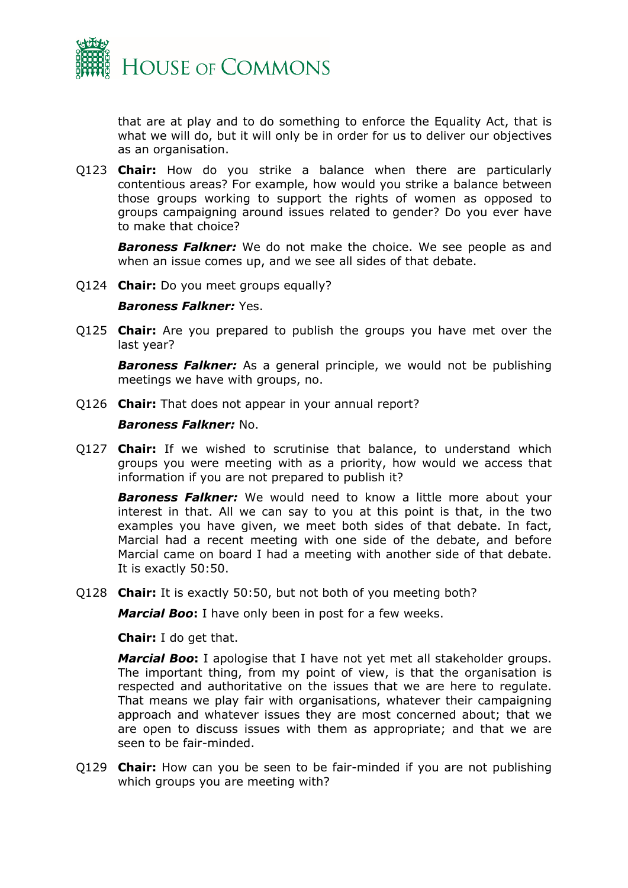

that are at play and to do something to enforce the Equality Act, that is what we will do, but it will only be in order for us to deliver our objectives as an organisation.

Q123 **Chair:** How do you strike a balance when there are particularly contentious areas? For example, how would you strike a balance between those groups working to support the rights of women as opposed to groups campaigning around issues related to gender? Do you ever have to make that choice?

*Baroness Falkner:* We do not make the choice. We see people as and when an issue comes up, and we see all sides of that debate.

- Q124 **Chair:** Do you meet groups equally? *Baroness Falkner:* Yes.
- Q125 **Chair:** Are you prepared to publish the groups you have met over the last year?

*Baroness Falkner:* As a general principle, we would not be publishing meetings we have with groups, no.

Q126 **Chair:** That does not appear in your annual report?

#### *Baroness Falkner:* No.

Q127 **Chair:** If we wished to scrutinise that balance, to understand which groups you were meeting with as a priority, how would we access that information if you are not prepared to publish it?

**Baroness Falkner:** We would need to know a little more about your interest in that. All we can say to you at this point is that, in the two examples you have given, we meet both sides of that debate. In fact, Marcial had a recent meeting with one side of the debate, and before Marcial came on board I had a meeting with another side of that debate. It is exactly 50:50.

Q128 **Chair:** It is exactly 50:50, but not both of you meeting both?

*Marcial Boo***:** I have only been in post for a few weeks.

**Chair:** I do get that.

*Marcial Boo***:** I apologise that I have not yet met all stakeholder groups. The important thing, from my point of view, is that the organisation is respected and authoritative on the issues that we are here to regulate. That means we play fair with organisations, whatever their campaigning approach and whatever issues they are most concerned about; that we are open to discuss issues with them as appropriate; and that we are seen to be fair-minded.

Q129 **Chair:** How can you be seen to be fair-minded if you are not publishing which groups you are meeting with?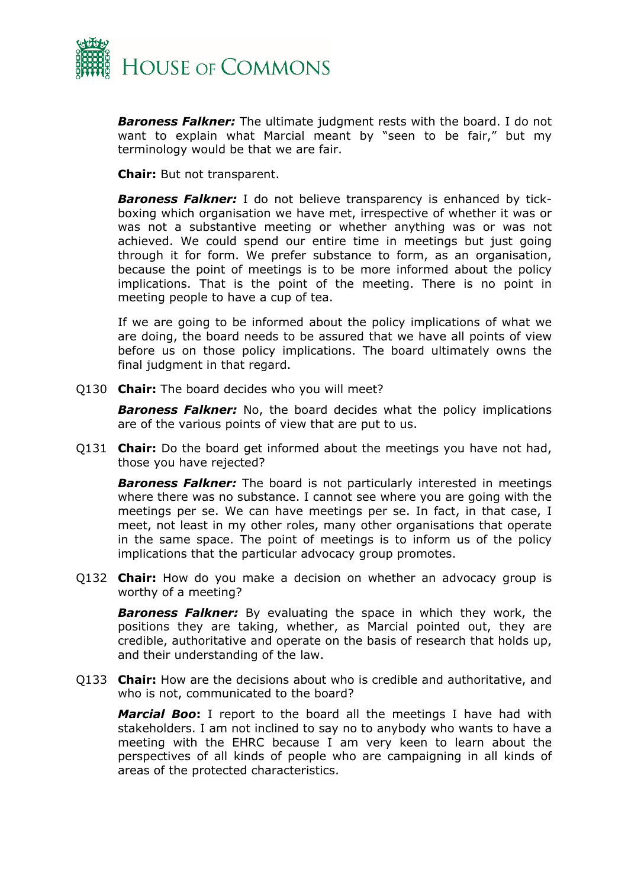

*Baroness Falkner:* The ultimate judgment rests with the board. I do not want to explain what Marcial meant by "seen to be fair," but my terminology would be that we are fair.

**Chair:** But not transparent.

*Baroness Falkner:* I do not believe transparency is enhanced by tickboxing which organisation we have met, irrespective of whether it was or was not a substantive meeting or whether anything was or was not achieved. We could spend our entire time in meetings but just going through it for form. We prefer substance to form, as an organisation, because the point of meetings is to be more informed about the policy implications. That is the point of the meeting. There is no point in meeting people to have a cup of tea.

If we are going to be informed about the policy implications of what we are doing, the board needs to be assured that we have all points of view before us on those policy implications. The board ultimately owns the final judgment in that regard.

Q130 **Chair:** The board decides who you will meet?

*Baroness Falkner:* No, the board decides what the policy implications are of the various points of view that are put to us.

Q131 **Chair:** Do the board get informed about the meetings you have not had, those you have rejected?

*Baroness Falkner:* The board is not particularly interested in meetings where there was no substance. I cannot see where you are going with the meetings per se. We can have meetings per se. In fact, in that case, I meet, not least in my other roles, many other organisations that operate in the same space. The point of meetings is to inform us of the policy implications that the particular advocacy group promotes.

Q132 **Chair:** How do you make a decision on whether an advocacy group is worthy of a meeting?

*Baroness Falkner:* By evaluating the space in which they work, the positions they are taking, whether, as Marcial pointed out, they are credible, authoritative and operate on the basis of research that holds up, and their understanding of the law.

Q133 **Chair:** How are the decisions about who is credible and authoritative, and who is not, communicated to the board?

*Marcial Boo***:** I report to the board all the meetings I have had with stakeholders. I am not inclined to say no to anybody who wants to have a meeting with the EHRC because I am very keen to learn about the perspectives of all kinds of people who are campaigning in all kinds of areas of the protected characteristics.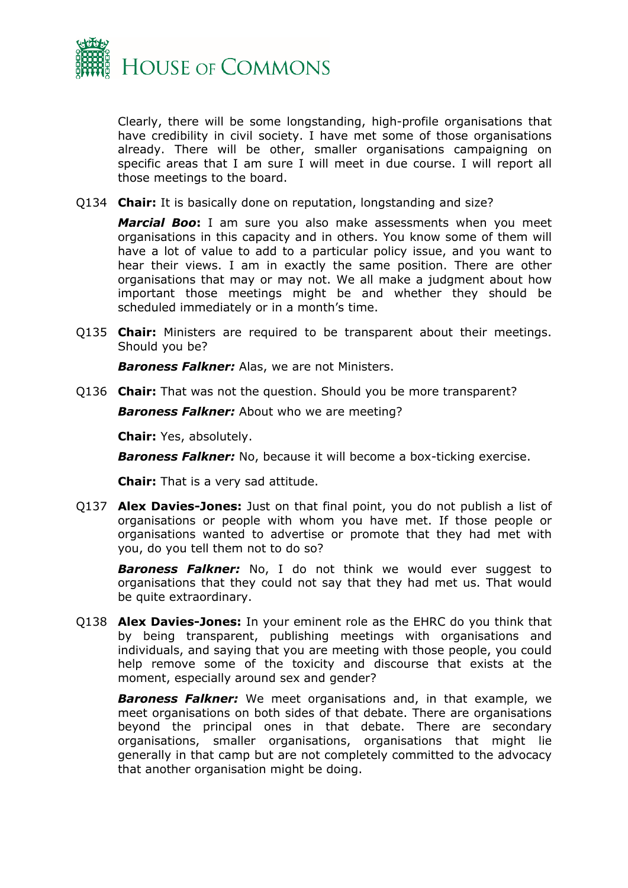

Clearly, there will be some longstanding, high-profile organisations that have credibility in civil society. I have met some of those organisations already. There will be other, smaller organisations campaigning on specific areas that I am sure I will meet in due course. I will report all those meetings to the board.

Q134 **Chair:** It is basically done on reputation, longstanding and size?

*Marcial Boo***:** I am sure you also make assessments when you meet organisations in this capacity and in others. You know some of them will have a lot of value to add to a particular policy issue, and you want to hear their views. I am in exactly the same position. There are other organisations that may or may not. We all make a judgment about how important those meetings might be and whether they should be scheduled immediately or in a month's time.

Q135 **Chair:** Ministers are required to be transparent about their meetings. Should you be?

*Baroness Falkner:* Alas, we are not Ministers.

Q136 **Chair:** That was not the question. Should you be more transparent?

*Baroness Falkner:* About who we are meeting?

**Chair:** Yes, absolutely.

**Baroness Falkner:** No, because it will become a box-ticking exercise.

**Chair:** That is a very sad attitude.

Q137 **Alex Davies-Jones:** Just on that final point, you do not publish a list of organisations or people with whom you have met. If those people or organisations wanted to advertise or promote that they had met with you, do you tell them not to do so?

*Baroness Falkner:* No, I do not think we would ever suggest to organisations that they could not say that they had met us. That would be quite extraordinary.

Q138 **Alex Davies-Jones:** In your eminent role as the EHRC do you think that by being transparent, publishing meetings with organisations and individuals, and saying that you are meeting with those people, you could help remove some of the toxicity and discourse that exists at the moment, especially around sex and gender?

*Baroness Falkner:* We meet organisations and, in that example, we meet organisations on both sides of that debate. There are organisations beyond the principal ones in that debate. There are secondary organisations, smaller organisations, organisations that might lie generally in that camp but are not completely committed to the advocacy that another organisation might be doing.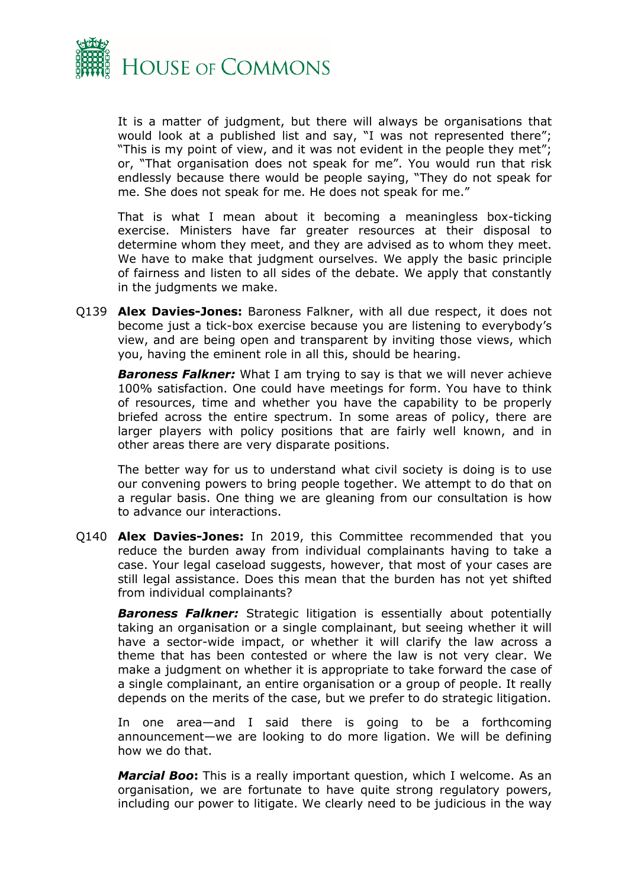

It is a matter of judgment, but there will always be organisations that would look at a published list and say, "I was not represented there"; "This is my point of view, and it was not evident in the people they met"; or, "That organisation does not speak for me". You would run that risk endlessly because there would be people saying, "They do not speak for me. She does not speak for me. He does not speak for me."

That is what I mean about it becoming a meaningless box-ticking exercise. Ministers have far greater resources at their disposal to determine whom they meet, and they are advised as to whom they meet. We have to make that judgment ourselves. We apply the basic principle of fairness and listen to all sides of the debate. We apply that constantly in the judgments we make.

Q139 **Alex Davies-Jones:** Baroness Falkner, with all due respect, it does not become just a tick-box exercise because you are listening to everybody's view, and are being open and transparent by inviting those views, which you, having the eminent role in all this, should be hearing.

*Baroness Falkner:* What I am trying to say is that we will never achieve 100% satisfaction. One could have meetings for form. You have to think of resources, time and whether you have the capability to be properly briefed across the entire spectrum. In some areas of policy, there are larger players with policy positions that are fairly well known, and in other areas there are very disparate positions.

The better way for us to understand what civil society is doing is to use our convening powers to bring people together. We attempt to do that on a regular basis. One thing we are gleaning from our consultation is how to advance our interactions.

Q140 **Alex Davies-Jones:** In 2019, this Committee recommended that you reduce the burden away from individual complainants having to take a case. Your legal caseload suggests, however, that most of your cases are still legal assistance. Does this mean that the burden has not yet shifted from individual complainants?

*Baroness Falkner:* Strategic litigation is essentially about potentially taking an organisation or a single complainant, but seeing whether it will have a sector-wide impact, or whether it will clarify the law across a theme that has been contested or where the law is not very clear. We make a judgment on whether it is appropriate to take forward the case of a single complainant, an entire organisation or a group of people. It really depends on the merits of the case, but we prefer to do strategic litigation.

In one area—and I said there is going to be a forthcoming announcement—we are looking to do more ligation. We will be defining how we do that.

*Marcial Boo***:** This is a really important question, which I welcome. As an organisation, we are fortunate to have quite strong regulatory powers, including our power to litigate. We clearly need to be judicious in the way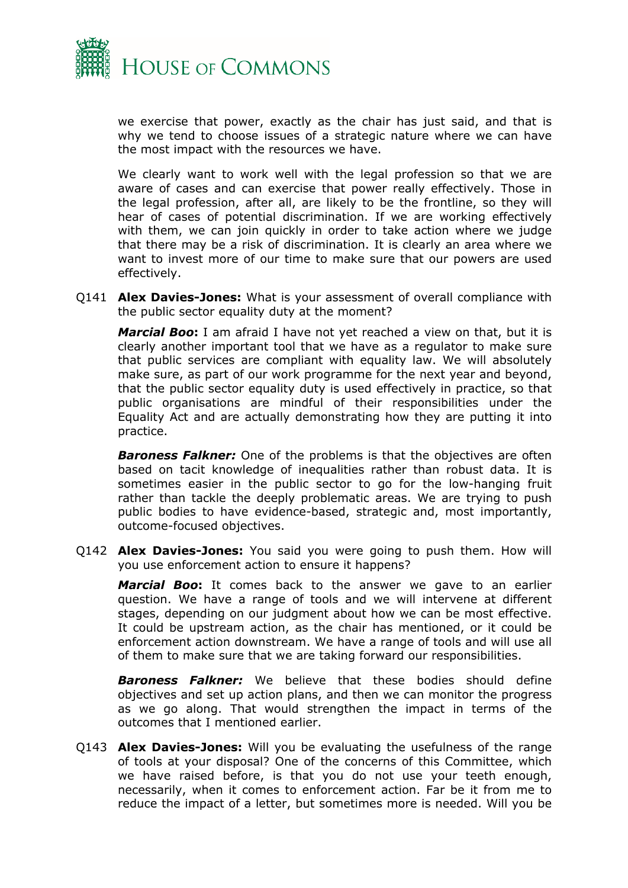

we exercise that power, exactly as the chair has just said, and that is why we tend to choose issues of a strategic nature where we can have the most impact with the resources we have.

We clearly want to work well with the legal profession so that we are aware of cases and can exercise that power really effectively. Those in the legal profession, after all, are likely to be the frontline, so they will hear of cases of potential discrimination. If we are working effectively with them, we can join quickly in order to take action where we judge that there may be a risk of discrimination. It is clearly an area where we want to invest more of our time to make sure that our powers are used effectively.

Q141 **Alex Davies-Jones:** What is your assessment of overall compliance with the public sector equality duty at the moment?

*Marcial Boo***:** I am afraid I have not yet reached a view on that, but it is clearly another important tool that we have as a regulator to make sure that public services are compliant with equality law. We will absolutely make sure, as part of our work programme for the next year and beyond, that the public sector equality duty is used effectively in practice, so that public organisations are mindful of their responsibilities under the Equality Act and are actually demonstrating how they are putting it into practice.

*Baroness Falkner:* One of the problems is that the objectives are often based on tacit knowledge of inequalities rather than robust data. It is sometimes easier in the public sector to go for the low-hanging fruit rather than tackle the deeply problematic areas. We are trying to push public bodies to have evidence-based, strategic and, most importantly, outcome-focused objectives.

Q142 **Alex Davies-Jones:** You said you were going to push them. How will you use enforcement action to ensure it happens?

*Marcial Boo***:** It comes back to the answer we gave to an earlier question. We have a range of tools and we will intervene at different stages, depending on our judgment about how we can be most effective. It could be upstream action, as the chair has mentioned, or it could be enforcement action downstream. We have a range of tools and will use all of them to make sure that we are taking forward our responsibilities.

*Baroness Falkner:* We believe that these bodies should define objectives and set up action plans, and then we can monitor the progress as we go along. That would strengthen the impact in terms of the outcomes that I mentioned earlier.

Q143 **Alex Davies-Jones:** Will you be evaluating the usefulness of the range of tools at your disposal? One of the concerns of this Committee, which we have raised before, is that you do not use your teeth enough, necessarily, when it comes to enforcement action. Far be it from me to reduce the impact of a letter, but sometimes more is needed. Will you be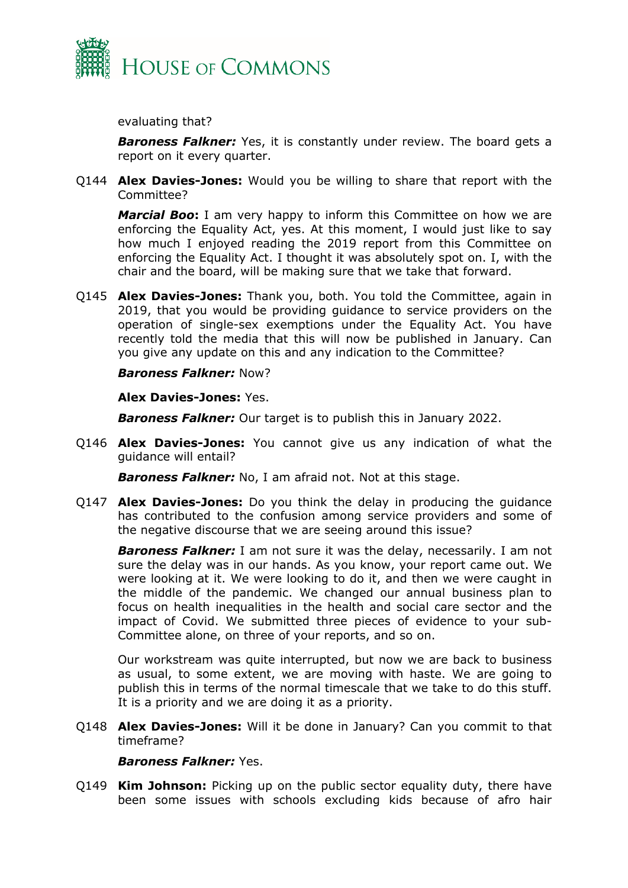

evaluating that?

*Baroness Falkner:* Yes, it is constantly under review. The board gets a report on it every quarter.

Q144 **Alex Davies-Jones:** Would you be willing to share that report with the Committee?

*Marcial Boo***:** I am very happy to inform this Committee on how we are enforcing the Equality Act, yes. At this moment, I would just like to say how much I enjoyed reading the 2019 report from this Committee on enforcing the Equality Act. I thought it was absolutely spot on. I, with the chair and the board, will be making sure that we take that forward.

Q145 **Alex Davies-Jones:** Thank you, both. You told the Committee, again in 2019, that you would be providing guidance to service providers on the operation of single-sex exemptions under the Equality Act. You have recently told the media that this will now be published in January. Can you give any update on this and any indication to the Committee?

#### *Baroness Falkner:* Now?

#### **Alex Davies-Jones:** Yes.

*Baroness Falkner:* Our target is to publish this in January 2022.

Q146 **Alex Davies-Jones:** You cannot give us any indication of what the guidance will entail?

*Baroness Falkner:* No, I am afraid not. Not at this stage.

Q147 **Alex Davies-Jones:** Do you think the delay in producing the guidance has contributed to the confusion among service providers and some of the negative discourse that we are seeing around this issue?

*Baroness Falkner:* I am not sure it was the delay, necessarily. I am not sure the delay was in our hands. As you know, your report came out. We were looking at it. We were looking to do it, and then we were caught in the middle of the pandemic. We changed our annual business plan to focus on health inequalities in the health and social care sector and the impact of Covid. We submitted three pieces of evidence to your sub-Committee alone, on three of your reports, and so on.

Our workstream was quite interrupted, but now we are back to business as usual, to some extent, we are moving with haste. We are going to publish this in terms of the normal timescale that we take to do this stuff. It is a priority and we are doing it as a priority.

Q148 **Alex Davies-Jones:** Will it be done in January? Can you commit to that timeframe?

#### *Baroness Falkner:* Yes.

Q149 **Kim Johnson:** Picking up on the public sector equality duty, there have been some issues with schools excluding kids because of afro hair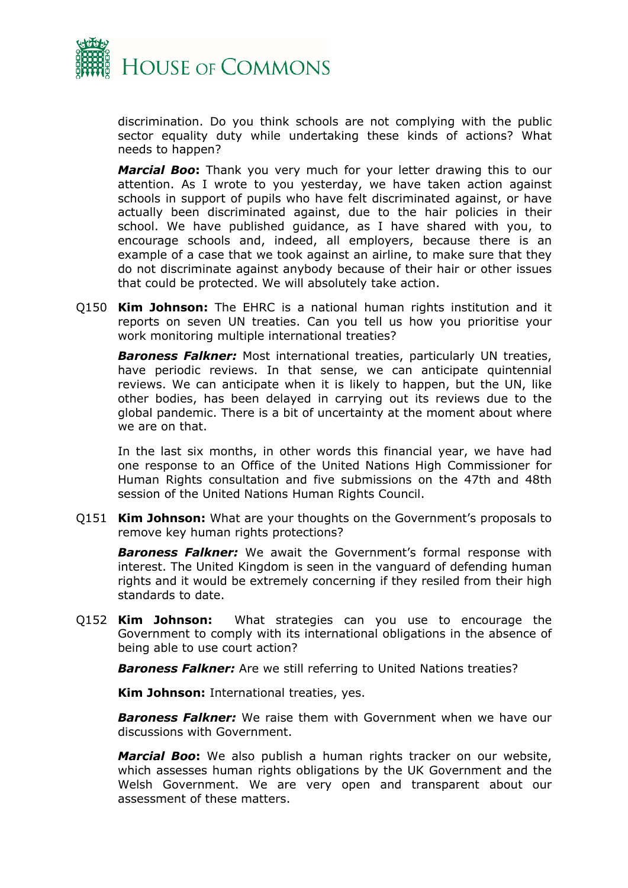

discrimination. Do you think schools are not complying with the public sector equality duty while undertaking these kinds of actions? What needs to happen?

*Marcial Boo***:** Thank you very much for your letter drawing this to our attention. As I wrote to you yesterday, we have taken action against schools in support of pupils who have felt discriminated against, or have actually been discriminated against, due to the hair policies in their school. We have published guidance, as I have shared with you, to encourage schools and, indeed, all employers, because there is an example of a case that we took against an airline, to make sure that they do not discriminate against anybody because of their hair or other issues that could be protected. We will absolutely take action.

Q150 **Kim Johnson:** The EHRC is a national human rights institution and it reports on seven UN treaties. Can you tell us how you prioritise your work monitoring multiple international treaties?

*Baroness Falkner:* Most international treaties, particularly UN treaties, have periodic reviews. In that sense, we can anticipate quintennial reviews. We can anticipate when it is likely to happen, but the UN, like other bodies, has been delayed in carrying out its reviews due to the global pandemic. There is a bit of uncertainty at the moment about where we are on that.

In the last six months, in other words this financial year, we have had one response to an Office of the United Nations High Commissioner for Human Rights consultation and five submissions on the 47th and 48th session of the United Nations Human Rights Council.

Q151 **Kim Johnson:** What are your thoughts on the Government's proposals to remove key human rights protections?

**Baroness Falkner:** We await the Government's formal response with interest. The United Kingdom is seen in the vanguard of defending human rights and it would be extremely concerning if they resiled from their high standards to date.

Q152 **Kim Johnson:** What strategies can you use to encourage the Government to comply with its international obligations in the absence of being able to use court action?

*Baroness Falkner:* Are we still referring to United Nations treaties?

**Kim Johnson:** International treaties, yes.

*Baroness Falkner:* We raise them with Government when we have our discussions with Government.

*Marcial Boo***:** We also publish a human rights tracker on our website, which assesses human rights obligations by the UK Government and the Welsh Government. We are very open and transparent about our assessment of these matters.